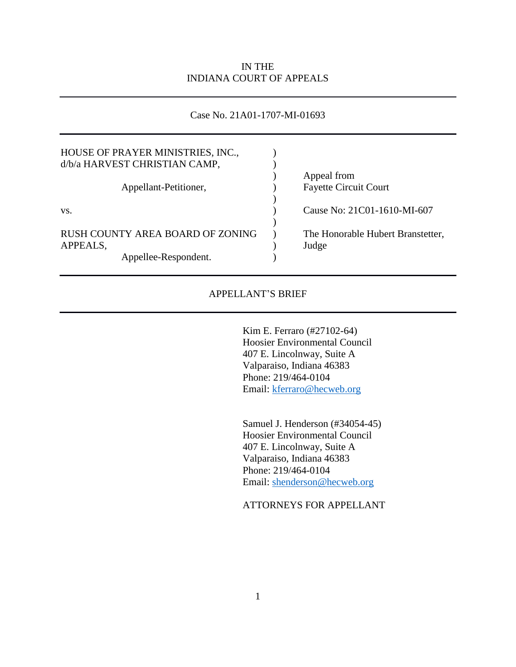### IN THE INDIANA COURT OF APPEALS

### Case No. 21A01-1707-MI-01693

| HOUSE OF PRAYER MINISTRIES, INC.,<br>d/b/a HARVEST CHRISTIAN CAMP, |                                            |
|--------------------------------------------------------------------|--------------------------------------------|
|                                                                    | Appeal from                                |
| Appellant-Petitioner,                                              | <b>Fayette Circuit Court</b>               |
| VS.                                                                | Cause No: 21C01-1610-MI-607                |
| RUSH COUNTY AREA BOARD OF ZONING<br>APPEALS,                       | The Honorable Hubert Branstetter,<br>Judge |
| Appellee-Respondent.                                               |                                            |

### APPELLANT'S BRIEF

Kim E. Ferraro (#27102-64) Hoosier Environmental Council 407 E. Lincolnway, Suite A Valparaiso, Indiana 46383 Phone: 219/464-0104 Email: [kferraro@hecweb.org](mailto:kferraro@hecweb.org)

Samuel J. Henderson (#34054-45) Hoosier Environmental Council 407 E. Lincolnway, Suite A Valparaiso, Indiana 46383 Phone: 219/464-0104 Email: [shenderson@hecweb.org](mailto:shenderson@hecweb.org)

ATTORNEYS FOR APPELLANT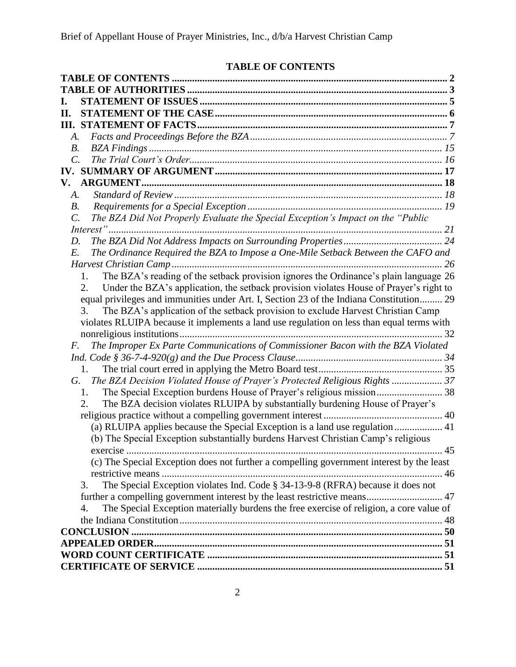# **TABLE OF CONTENTS**

<span id="page-1-0"></span>

| П.              |                                                                                               |    |
|-----------------|-----------------------------------------------------------------------------------------------|----|
|                 |                                                                                               |    |
| A.              |                                                                                               |    |
| <i>B</i> .      |                                                                                               |    |
| $\mathcal{C}$ . |                                                                                               |    |
|                 |                                                                                               |    |
| V.              |                                                                                               |    |
| A.              |                                                                                               |    |
| В.              |                                                                                               |    |
| C.              | The BZA Did Not Properly Evaluate the Special Exception's Impact on the "Public               |    |
|                 |                                                                                               |    |
| D.              |                                                                                               |    |
| E.              | The Ordinance Required the BZA to Impose a One-Mile Setback Between the CAFO and              |    |
|                 | 26                                                                                            |    |
|                 | The BZA's reading of the setback provision ignores the Ordinance's plain language 26<br>1.    |    |
|                 | Under the BZA's application, the setback provision violates House of Prayer's right to<br>2.  |    |
|                 | equal privileges and immunities under Art. I, Section 23 of the Indiana Constitution 29       |    |
|                 | The BZA's application of the setback provision to exclude Harvest Christian Camp<br>3.        |    |
|                 | violates RLUIPA because it implements a land use regulation on less than equal terms with     |    |
|                 |                                                                                               |    |
| F.              | The Improper Ex Parte Communications of Commissioner Bacon with the BZA Violated              |    |
|                 |                                                                                               |    |
|                 | 1.                                                                                            |    |
| G.              | The BZA Decision Violated House of Prayer's Protected Religious Rights  37                    |    |
|                 | The Special Exception burdens House of Prayer's religious mission 38<br>1.                    |    |
|                 | The BZA decision violates RLUIPA by substantially burdening House of Prayer's<br>2.           |    |
|                 |                                                                                               |    |
|                 | (a) RLUIPA applies because the Special Exception is a land use regulation  41                 |    |
|                 | (b) The Special Exception substantially burdens Harvest Christian Camp's religious            |    |
|                 | exercise                                                                                      | 45 |
|                 | (c) The Special Exception does not further a compelling government interest by the least      |    |
|                 |                                                                                               |    |
|                 | The Special Exception violates Ind. Code § 34-13-9-8 (RFRA) because it does not<br>3.         |    |
|                 |                                                                                               |    |
|                 | The Special Exception materially burdens the free exercise of religion, a core value of<br>4. |    |
|                 |                                                                                               |    |
|                 |                                                                                               |    |
|                 |                                                                                               |    |
|                 |                                                                                               |    |
|                 |                                                                                               |    |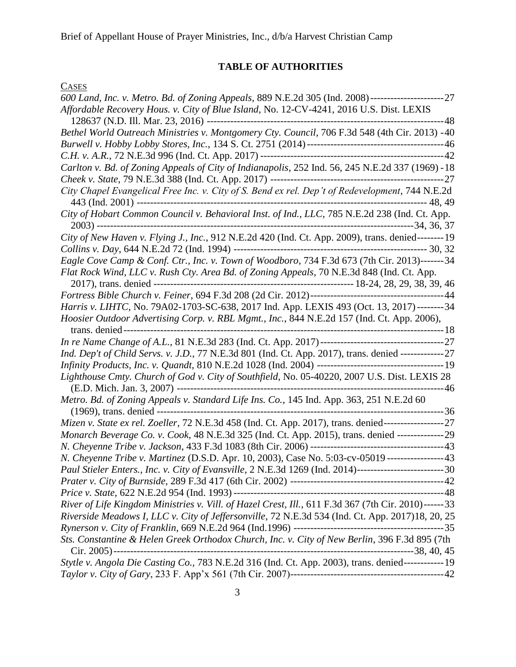## **TABLE OF AUTHORITIES**

<span id="page-2-0"></span>

| <b>CASES</b>                                                                                                   |
|----------------------------------------------------------------------------------------------------------------|
| 600 Land, Inc. v. Metro. Bd. of Zoning Appeals, 889 N.E.2d 305 (Ind. 2008)------------------------ 27          |
| Affordable Recovery Hous. v. City of Blue Island, No. 12-CV-4241, 2016 U.S. Dist. LEXIS                        |
|                                                                                                                |
| Bethel World Outreach Ministries v. Montgomery Cty. Council, 706 F.3d 548 (4th Cir. 2013) -40                  |
|                                                                                                                |
|                                                                                                                |
| Carlton v. Bd. of Zoning Appeals of City of Indianapolis, 252 Ind. 56, 245 N.E.2d 337 (1969) -18               |
|                                                                                                                |
| City Chapel Evangelical Free Inc. v. City of S. Bend ex rel. Dep't of Redevelopment, 744 N.E.2d                |
|                                                                                                                |
| City of New Haven v. Flying J., Inc., 912 N.E.2d 420 (Ind. Ct. App. 2009), trans. denied-------- 19            |
|                                                                                                                |
| Eagle Cove Camp & Conf. Ctr., Inc. v. Town of Woodboro, 734 F.3d 673 (7th Cir. 2013)-------34                  |
| Flat Rock Wind, LLC v. Rush Cty. Area Bd. of Zoning Appeals, 70 N.E.3d 848 (Ind. Ct. App.                      |
|                                                                                                                |
|                                                                                                                |
| Harris v. LIHTC, No. 79A02-1703-SC-638, 2017 Ind. App. LEXIS 493 (Oct. 13, 2017)--------34                     |
| Hoosier Outdoor Advertising Corp. v. RBL Mgmt., Inc., 844 N.E.2d 157 (Ind. Ct. App. 2006),                     |
|                                                                                                                |
| Ind. Dep't of Child Servs. v. J.D., 77 N.E.3d 801 (Ind. Ct. App. 2017), trans. denied ------------------ 27    |
|                                                                                                                |
|                                                                                                                |
|                                                                                                                |
| Metro. Bd. of Zoning Appeals v. Standard Life Ins. Co., 145 Ind. App. 363, 251 N.E.2d 60                       |
| Mizen v. State ex rel. Zoeller, 72 N.E.3d 458 (Ind. Ct. App. 2017), trans. denied----------------------------- |
|                                                                                                                |
| Monarch Beverage Co. v. Cook, 48 N.E.3d 325 (Ind. Ct. App. 2015), trans. denied -----------------29            |
|                                                                                                                |
| N. Cheyenne Tribe v. Martinez (D.S.D. Apr. 10, 2003), Case No. 5:03-cv-05019 -----------------43               |
| Paul Stieler Enters., Inc. v. City of Evansville, 2 N.E.3d 1269 (Ind. 2014)-----------------------------30     |
|                                                                                                                |
| River of Life Kingdom Ministries v. Vill. of Hazel Crest, Ill., 611 F.3d 367 (7th Cir. 2010)------ 33          |
|                                                                                                                |
| Riverside Meadows I, LLC v. City of Jeffersonville, 72 N.E.3d 534 (Ind. Ct. App. 2017)18, 20, 25               |
|                                                                                                                |
| Sts. Constantine & Helen Greek Orthodox Church, Inc. v. City of New Berlin, 396 F.3d 895 (7th                  |
|                                                                                                                |
|                                                                                                                |
|                                                                                                                |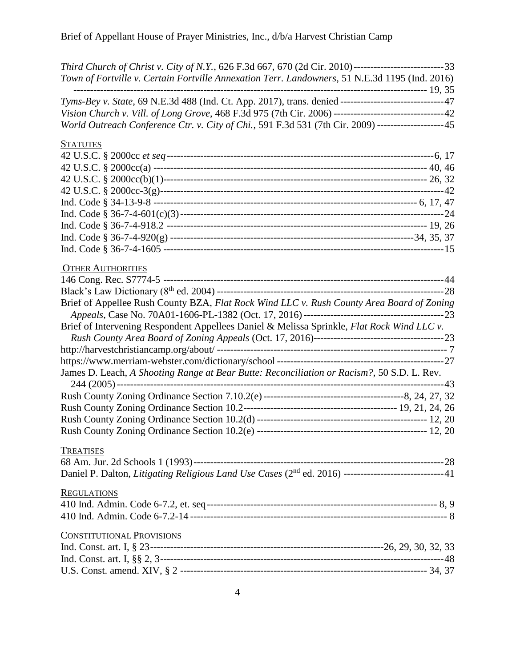| Third Church of Christ v. City of N.Y., 626 F.3d 667, 670 (2d Cir. 2010)-------------------------------33        |  |
|------------------------------------------------------------------------------------------------------------------|--|
| Town of Fortville v. Certain Fortville Annexation Terr. Landowners, 51 N.E.3d 1195 (Ind. 2016)                   |  |
|                                                                                                                  |  |
| Tyms-Bey v. State, 69 N.E.3d 488 (Ind. Ct. App. 2017), trans. denied ------------------------------47            |  |
| Vision Church v. Vill. of Long Grove, 468 F.3d 975 (7th Cir. 2006) --------------------------------42            |  |
| World Outreach Conference Ctr. v. City of Chi., 591 F.3d 531 (7th Cir. 2009) -------------------45               |  |
| <b>STATUTES</b>                                                                                                  |  |
|                                                                                                                  |  |
|                                                                                                                  |  |
|                                                                                                                  |  |
|                                                                                                                  |  |
|                                                                                                                  |  |
|                                                                                                                  |  |
|                                                                                                                  |  |
|                                                                                                                  |  |
|                                                                                                                  |  |
| <b>OTHER AUTHORITIES</b>                                                                                         |  |
|                                                                                                                  |  |
|                                                                                                                  |  |
| Brief of Appellee Rush County BZA, Flat Rock Wind LLC v. Rush County Area Board of Zoning                        |  |
|                                                                                                                  |  |
| Brief of Intervening Respondent Appellees Daniel & Melissa Sprinkle, Flat Rock Wind LLC v.                       |  |
|                                                                                                                  |  |
|                                                                                                                  |  |
|                                                                                                                  |  |
| James D. Leach, A Shooting Range at Bear Butte: Reconciliation or Racism?, 50 S.D. L. Rev.                       |  |
|                                                                                                                  |  |
|                                                                                                                  |  |
|                                                                                                                  |  |
|                                                                                                                  |  |
|                                                                                                                  |  |
|                                                                                                                  |  |
| <b>TREATISES</b>                                                                                                 |  |
|                                                                                                                  |  |
| Daniel P. Dalton, Litigating Religious Land Use Cases (2 <sup>nd</sup> ed. 2016) -----------------------------41 |  |
| <b>REGULATIONS</b>                                                                                               |  |
|                                                                                                                  |  |
|                                                                                                                  |  |
| <b>CONSTITUTIONAL PROVISIONS</b>                                                                                 |  |
|                                                                                                                  |  |
|                                                                                                                  |  |
|                                                                                                                  |  |
|                                                                                                                  |  |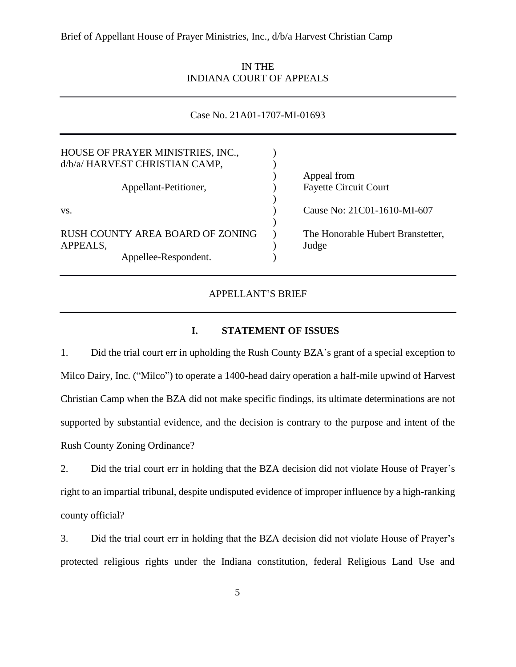IN THE INDIANA COURT OF APPEALS

| Case No. 21A01-1707-MI-01693      |  |                                   |  |  |  |
|-----------------------------------|--|-----------------------------------|--|--|--|
|                                   |  |                                   |  |  |  |
| HOUSE OF PRAYER MINISTRIES, INC., |  |                                   |  |  |  |
| d/b/a/ HARVEST CHRISTIAN CAMP,    |  |                                   |  |  |  |
|                                   |  | Appeal from                       |  |  |  |
| Appellant-Petitioner,             |  | <b>Fayette Circuit Court</b>      |  |  |  |
|                                   |  |                                   |  |  |  |
| VS.                               |  | Cause No: 21C01-1610-MI-607       |  |  |  |
|                                   |  |                                   |  |  |  |
| RUSH COUNTY AREA BOARD OF ZONING  |  | The Honorable Hubert Branstetter, |  |  |  |
| APPEALS,                          |  | Judge                             |  |  |  |
| Appellee-Respondent.              |  |                                   |  |  |  |

#### APPELLANT'S BRIEF

### **I. STATEMENT OF ISSUES**

<span id="page-4-0"></span>1. Did the trial court err in upholding the Rush County BZA's grant of a special exception to Milco Dairy, Inc. ("Milco") to operate a 1400-head dairy operation a half-mile upwind of Harvest Christian Camp when the BZA did not make specific findings, its ultimate determinations are not supported by substantial evidence, and the decision is contrary to the purpose and intent of the Rush County Zoning Ordinance?

2. Did the trial court err in holding that the BZA decision did not violate House of Prayer's right to an impartial tribunal, despite undisputed evidence of improper influence by a high-ranking county official?

3. Did the trial court err in holding that the BZA decision did not violate House of Prayer's protected religious rights under the Indiana constitution, federal Religious Land Use and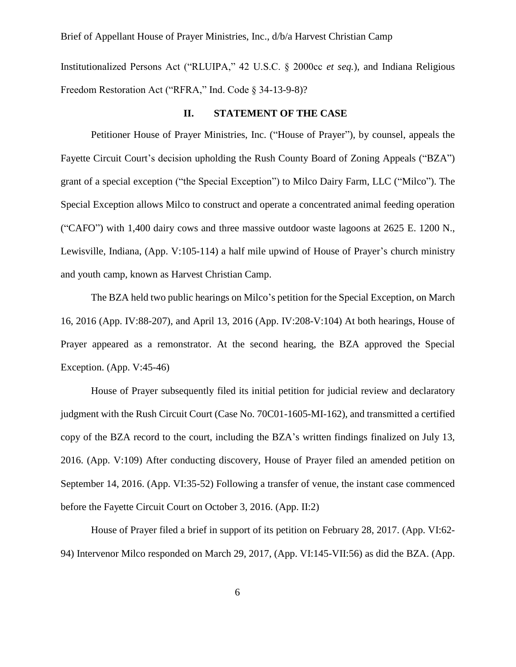Institutionalized Persons Act ("RLUIPA," 42 U.S.C. § 2000cc *et seq.*), and Indiana Religious Freedom Restoration Act ("RFRA," Ind. Code § 34-13-9-8)?

#### **II. STATEMENT OF THE CASE**

<span id="page-5-0"></span>Petitioner House of Prayer Ministries, Inc. ("House of Prayer"), by counsel, appeals the Fayette Circuit Court's decision upholding the Rush County Board of Zoning Appeals ("BZA") grant of a special exception ("the Special Exception") to Milco Dairy Farm, LLC ("Milco"). The Special Exception allows Milco to construct and operate a concentrated animal feeding operation ("CAFO") with 1,400 dairy cows and three massive outdoor waste lagoons at 2625 E. 1200 N., Lewisville, Indiana, (App. V:105-114) a half mile upwind of House of Prayer's church ministry and youth camp, known as Harvest Christian Camp.

The BZA held two public hearings on Milco's petition for the Special Exception, on March 16, 2016 (App. IV:88-207), and April 13, 2016 (App. IV:208-V:104) At both hearings, House of Prayer appeared as a remonstrator. At the second hearing, the BZA approved the Special Exception. (App. V:45-46)

House of Prayer subsequently filed its initial petition for judicial review and declaratory judgment with the Rush Circuit Court (Case No. 70C01-1605-MI-162), and transmitted a certified copy of the BZA record to the court, including the BZA's written findings finalized on July 13, 2016. (App. V:109) After conducting discovery, House of Prayer filed an amended petition on September 14, 2016. (App. VI:35-52) Following a transfer of venue, the instant case commenced before the Fayette Circuit Court on October 3, 2016. (App. II:2)

House of Prayer filed a brief in support of its petition on February 28, 2017. (App. VI:62- 94) Intervenor Milco responded on March 29, 2017, (App. VI:145-VII:56) as did the BZA. (App.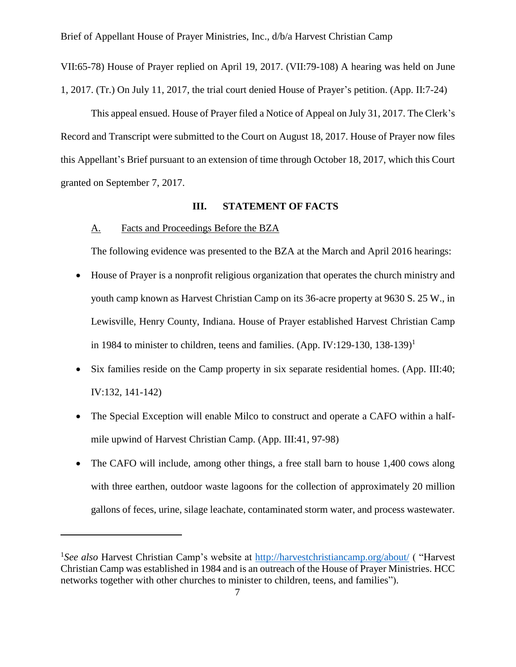VII:65-78) House of Prayer replied on April 19, 2017. (VII:79-108) A hearing was held on June 1, 2017. (Tr.) On July 11, 2017, the trial court denied House of Prayer's petition. (App. II:7-24)

This appeal ensued. House of Prayer filed a Notice of Appeal on July 31, 2017. The Clerk's Record and Transcript were submitted to the Court on August 18, 2017. House of Prayer now files this Appellant's Brief pursuant to an extension of time through October 18, 2017, which this Court granted on September 7, 2017.

### **III. STATEMENT OF FACTS**

### <span id="page-6-1"></span><span id="page-6-0"></span>A. Facts and Proceedings Before the BZA

 $\overline{a}$ 

The following evidence was presented to the BZA at the March and April 2016 hearings:

- House of Prayer is a nonprofit religious organization that operates the church ministry and youth camp known as Harvest Christian Camp on its 36-acre property at 9630 S. 25 W., in Lewisville, Henry County, Indiana. House of Prayer established Harvest Christian Camp in 1984 to minister to children, teens and families. (App. IV:129-130, 138-139)<sup>1</sup>
- Six families reside on the Camp property in six separate residential homes. (App. III:40; IV:132, 141-142)
- The Special Exception will enable Milco to construct and operate a CAFO within a halfmile upwind of Harvest Christian Camp. (App. III:41, 97-98)
- The CAFO will include, among other things, a free stall barn to house 1,400 cows along with three earthen, outdoor waste lagoons for the collection of approximately 20 million gallons of feces, urine, silage leachate, contaminated storm water, and process wastewater.

<sup>&</sup>lt;sup>1</sup>See also Harvest Christian Camp's website at<http://harvestchristiancamp.org/about/> ( "Harvest Christian Camp was established in 1984 and is an outreach of the House of Prayer Ministries. HCC networks together with other churches to minister to children, teens, and families").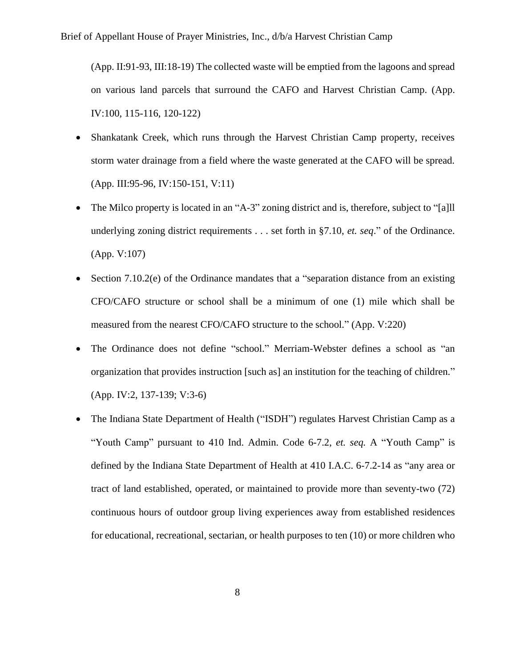(App. II:91-93, III:18-19) The collected waste will be emptied from the lagoons and spread on various land parcels that surround the CAFO and Harvest Christian Camp. (App. IV:100, 115-116, 120-122)

- Shankatank Creek, which runs through the Harvest Christian Camp property, receives storm water drainage from a field where the waste generated at the CAFO will be spread. (App. III:95-96, IV:150-151, V:11)
- The Milco property is located in an "A-3" zoning district and is, therefore, subject to "[a]ll underlying zoning district requirements . . . set forth in §7.10, *et. seq*." of the Ordinance. (App. V:107)
- Section 7.10.2(e) of the Ordinance mandates that a "separation distance from an existing CFO/CAFO structure or school shall be a minimum of one (1) mile which shall be measured from the nearest CFO/CAFO structure to the school." (App. V:220)
- The Ordinance does not define "school." Merriam-Webster defines a school as "an organization that provides instruction [such as] an institution for the teaching of children." (App. IV:2, 137-139; V:3-6)
- The Indiana State Department of Health ("ISDH") regulates Harvest Christian Camp as a "Youth Camp" pursuant to 410 Ind. Admin. Code 6-7.2, *et. seq.* A "Youth Camp" is defined by the Indiana State Department of Health at 410 I.A.C. 6-7.2-14 as "any area or tract of land established, operated, or maintained to provide more than seventy-two (72) continuous hours of outdoor group living experiences away from established residences for educational, recreational, sectarian, or health purposes to ten (10) or more children who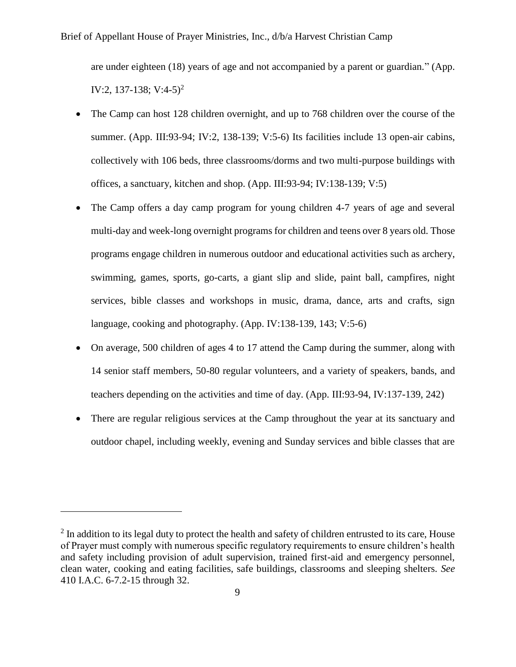are under eighteen (18) years of age and not accompanied by a parent or guardian." (App. IV:2, 137-138; V:4-5)<sup>2</sup>

- The Camp can host 128 children overnight, and up to 768 children over the course of the summer. (App. III:93-94; IV:2, 138-139; V:5-6) Its facilities include 13 open-air cabins, collectively with 106 beds, three classrooms/dorms and two multi-purpose buildings with offices, a sanctuary, kitchen and shop. (App. III:93-94; IV:138-139; V:5)
- The Camp offers a day camp program for young children 4-7 years of age and several multi-day and week-long overnight programs for children and teens over 8 years old. Those programs engage children in numerous outdoor and educational activities such as archery, swimming, games, sports, go-carts, a giant slip and slide, paint ball, campfires, night services, bible classes and workshops in music, drama, dance, arts and crafts, sign language, cooking and photography. (App. IV:138-139, 143; V:5-6)
- On average, 500 children of ages 4 to 17 attend the Camp during the summer, along with 14 senior staff members, 50*-*80 regular volunteers, and a variety of speakers, bands, and teachers depending on the activities and time of day. (App. III:93-94, IV:137-139, 242)
- There are regular religious services at the Camp throughout the year at its sanctuary and outdoor chapel, including weekly, evening and Sunday services and bible classes that are

 $2$  In addition to its legal duty to protect the health and safety of children entrusted to its care, House of Prayer must comply with numerous specific regulatory requirements to ensure children's health and safety including provision of adult supervision, trained first-aid and emergency personnel, clean water, cooking and eating facilities, safe buildings, classrooms and sleeping shelters. *See*  410 I.A.C. 6-7.2-15 through 32.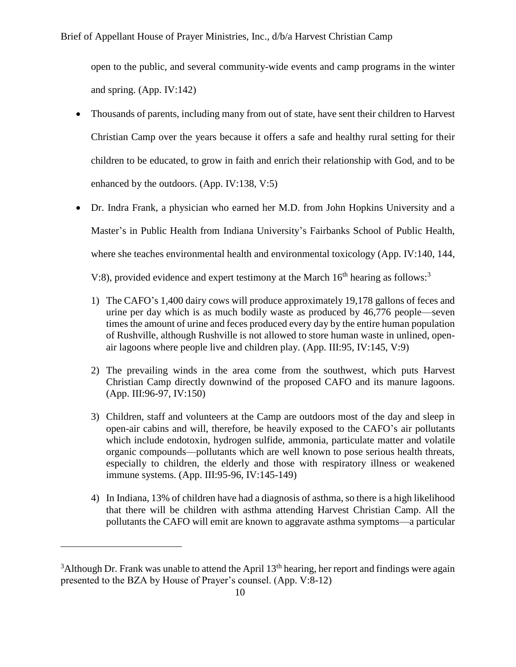open to the public, and several community-wide events and camp programs in the winter and spring. (App. IV:142)

- Thousands of parents, including many from out of state, have sent their children to Harvest Christian Camp over the years because it offers a safe and healthy rural setting for their children to be educated, to grow in faith and enrich their relationship with God, and to be enhanced by the outdoors. (App. IV:138, V:5)
- Dr. Indra Frank, a physician who earned her M.D. from John Hopkins University and a Master's in Public Health from Indiana University's Fairbanks School of Public Health, where she teaches environmental health and environmental toxicology (App. IV:140, 144, V:8), provided evidence and expert testimony at the March  $16<sup>th</sup>$  hearing as follows:<sup>3</sup>

1) The CAFO's 1,400 dairy cows will produce approximately 19,178 gallons of feces and

- urine per day which is as much bodily waste as produced by 46,776 people—seven times the amount of urine and feces produced every day by the entire human population of Rushville, although Rushville is not allowed to store human waste in unlined, openair lagoons where people live and children play. (App. III:95, IV:145, V:9)
- 2) The prevailing winds in the area come from the southwest, which puts Harvest Christian Camp directly downwind of the proposed CAFO and its manure lagoons. (App. III:96-97, IV:150)
- 3) Children, staff and volunteers at the Camp are outdoors most of the day and sleep in open-air cabins and will, therefore, be heavily exposed to the CAFO's air pollutants which include endotoxin, hydrogen sulfide, ammonia, particulate matter and volatile organic compounds—pollutants which are well known to pose serious health threats, especially to children, the elderly and those with respiratory illness or weakened immune systems. (App. III:95-96, IV:145-149)
- 4) In Indiana, 13% of children have had a diagnosis of asthma, so there is a high likelihood that there will be children with asthma attending Harvest Christian Camp. All the pollutants the CAFO will emit are known to aggravate asthma symptoms—a particular

 $3$ Although Dr. Frank was unable to attend the April 13<sup>th</sup> hearing, her report and findings were again presented to the BZA by House of Prayer's counsel. (App. V:8-12)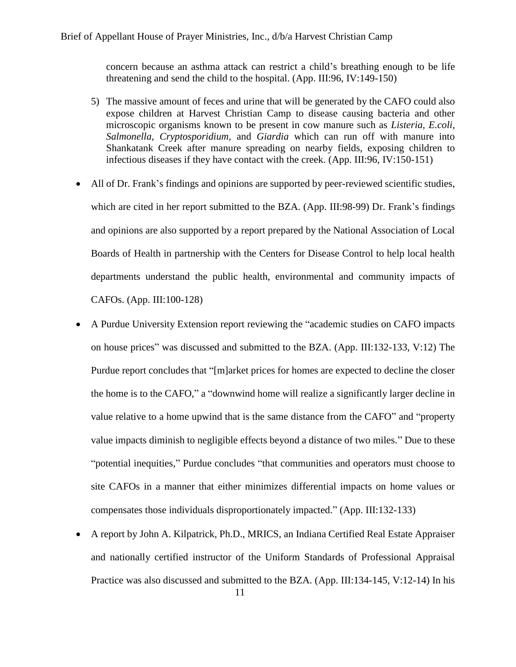concern because an asthma attack can restrict a child's breathing enough to be life threatening and send the child to the hospital. (App. III:96, IV:149-150)

- 5) The massive amount of feces and urine that will be generated by the CAFO could also expose children at Harvest Christian Camp to disease causing bacteria and other microscopic organisms known to be present in cow manure such as *Listeria, E.coli, Salmonella, Cryptosporidium,* and *Giardia* which can run off with manure into Shankatank Creek after manure spreading on nearby fields, exposing children to infectious diseases if they have contact with the creek. (App. III:96, IV:150-151)
- All of Dr. Frank's findings and opinions are supported by peer-reviewed scientific studies, which are cited in her report submitted to the BZA. (App. III:98-99) Dr. Frank's findings and opinions are also supported by a report prepared by the National Association of Local Boards of Health in partnership with the Centers for Disease Control to help local health departments understand the public health, environmental and community impacts of CAFOs. (App. III:100-128)
- A Purdue University Extension report reviewing the "academic studies on CAFO impacts on house prices" was discussed and submitted to the BZA. (App. III:132-133, V:12) The Purdue report concludes that "[m]arket prices for homes are expected to decline the closer the home is to the CAFO," a "downwind home will realize a significantly larger decline in value relative to a home upwind that is the same distance from the CAFO" and "property value impacts diminish to negligible effects beyond a distance of two miles." Due to these "potential inequities," Purdue concludes "that communities and operators must choose to site CAFOs in a manner that either minimizes differential impacts on home values or compensates those individuals disproportionately impacted." (App. III:132-133)
- 11 • A report by John A. Kilpatrick, Ph.D., MRICS, an Indiana Certified Real Estate Appraiser and nationally certified instructor of the Uniform Standards of Professional Appraisal Practice was also discussed and submitted to the BZA. (App. III:134-145, V:12-14) In his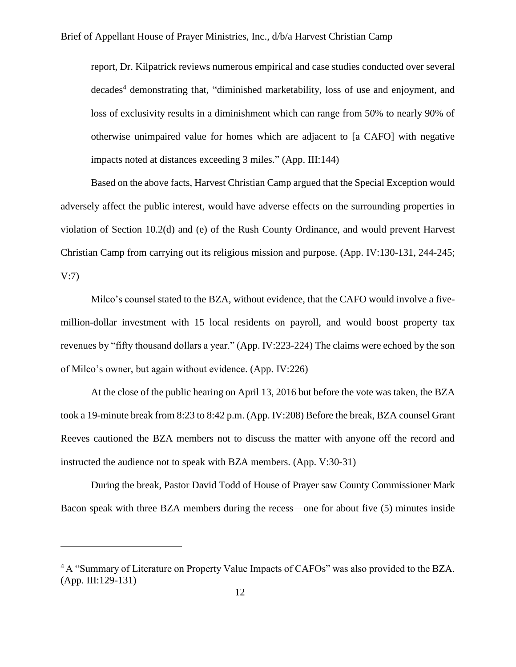report, Dr. Kilpatrick reviews numerous empirical and case studies conducted over several decades<sup>4</sup> demonstrating that, "diminished marketability, loss of use and enjoyment, and loss of exclusivity results in a diminishment which can range from 50% to nearly 90% of otherwise unimpaired value for homes which are adjacent to [a CAFO] with negative impacts noted at distances exceeding 3 miles." (App. III:144)

Based on the above facts, Harvest Christian Camp argued that the Special Exception would adversely affect the public interest, would have adverse effects on the surrounding properties in violation of Section 10.2(d) and (e) of the Rush County Ordinance, and would prevent Harvest Christian Camp from carrying out its religious mission and purpose. (App. IV:130-131, 244-245; V:7)

Milco's counsel stated to the BZA, without evidence, that the CAFO would involve a fivemillion-dollar investment with 15 local residents on payroll, and would boost property tax revenues by "fifty thousand dollars a year." (App. IV:223-224) The claims were echoed by the son of Milco's owner, but again without evidence. (App. IV:226)

At the close of the public hearing on April 13, 2016 but before the vote was taken, the BZA took a 19-minute break from 8:23 to 8:42 p.m. (App. IV:208) Before the break, BZA counsel Grant Reeves cautioned the BZA members not to discuss the matter with anyone off the record and instructed the audience not to speak with BZA members. (App. V:30-31)

During the break, Pastor David Todd of House of Prayer saw County Commissioner Mark Bacon speak with three BZA members during the recess—one for about five (5) minutes inside

<sup>&</sup>lt;sup>4</sup> A "Summary of Literature on Property Value Impacts of CAFOs" was also provided to the BZA. (App. III:129-131)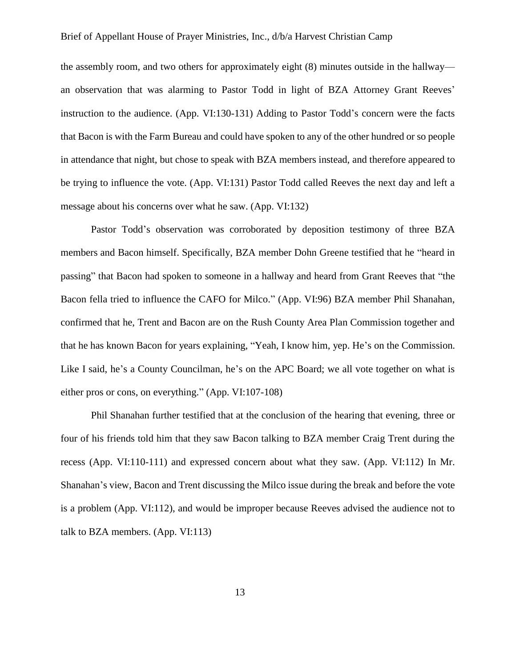the assembly room, and two others for approximately eight (8) minutes outside in the hallway an observation that was alarming to Pastor Todd in light of BZA Attorney Grant Reeves' instruction to the audience. (App. VI:130-131) Adding to Pastor Todd's concern were the facts that Bacon is with the Farm Bureau and could have spoken to any of the other hundred or so people in attendance that night, but chose to speak with BZA members instead, and therefore appeared to be trying to influence the vote. (App. VI:131) Pastor Todd called Reeves the next day and left a message about his concerns over what he saw. (App. VI:132)

Pastor Todd's observation was corroborated by deposition testimony of three BZA members and Bacon himself. Specifically, BZA member Dohn Greene testified that he "heard in passing" that Bacon had spoken to someone in a hallway and heard from Grant Reeves that "the Bacon fella tried to influence the CAFO for Milco." (App. VI:96) BZA member Phil Shanahan, confirmed that he, Trent and Bacon are on the Rush County Area Plan Commission together and that he has known Bacon for years explaining, "Yeah, I know him, yep. He's on the Commission. Like I said, he's a County Councilman, he's on the APC Board; we all vote together on what is either pros or cons, on everything." (App. VI:107-108)

Phil Shanahan further testified that at the conclusion of the hearing that evening, three or four of his friends told him that they saw Bacon talking to BZA member Craig Trent during the recess (App. VI:110-111) and expressed concern about what they saw. (App. VI:112) In Mr. Shanahan's view, Bacon and Trent discussing the Milco issue during the break and before the vote is a problem (App. VI:112), and would be improper because Reeves advised the audience not to talk to BZA members. (App. VI:113)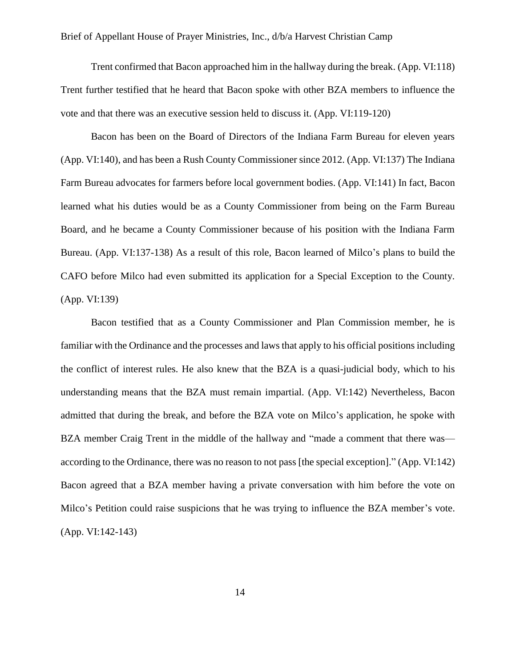Trent confirmed that Bacon approached him in the hallway during the break. (App. VI:118) Trent further testified that he heard that Bacon spoke with other BZA members to influence the vote and that there was an executive session held to discuss it. (App. VI:119-120)

Bacon has been on the Board of Directors of the Indiana Farm Bureau for eleven years (App. VI:140), and has been a Rush County Commissioner since 2012. (App. VI:137) The Indiana Farm Bureau advocates for farmers before local government bodies. (App. VI:141) In fact, Bacon learned what his duties would be as a County Commissioner from being on the Farm Bureau Board, and he became a County Commissioner because of his position with the Indiana Farm Bureau. (App. VI:137-138) As a result of this role, Bacon learned of Milco's plans to build the CAFO before Milco had even submitted its application for a Special Exception to the County. (App. VI:139)

Bacon testified that as a County Commissioner and Plan Commission member, he is familiar with the Ordinance and the processes and laws that apply to his official positions including the conflict of interest rules. He also knew that the BZA is a quasi-judicial body, which to his understanding means that the BZA must remain impartial. (App. VI:142) Nevertheless, Bacon admitted that during the break, and before the BZA vote on Milco's application, he spoke with BZA member Craig Trent in the middle of the hallway and "made a comment that there was according to the Ordinance, there was no reason to not pass [the special exception]." (App. VI:142) Bacon agreed that a BZA member having a private conversation with him before the vote on Milco's Petition could raise suspicions that he was trying to influence the BZA member's vote. (App. VI:142-143)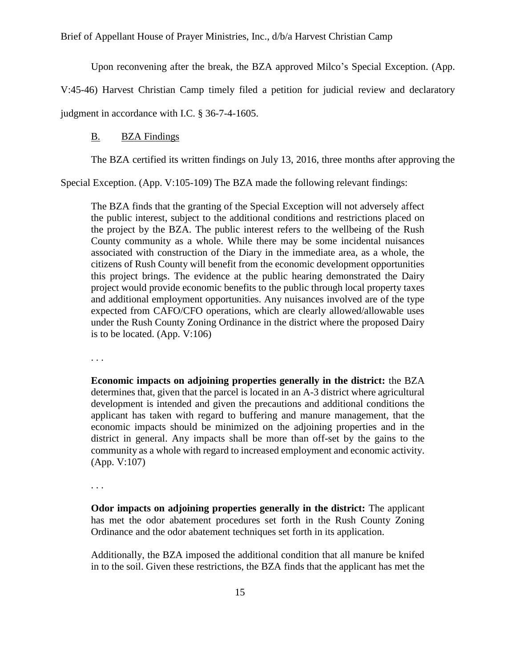Upon reconvening after the break, the BZA approved Milco's Special Exception. (App.

V:45-46) Harvest Christian Camp timely filed a petition for judicial review and declaratory

<span id="page-14-0"></span>judgment in accordance with I.C. § 36-7-4-1605.

### B. BZA Findings

The BZA certified its written findings on July 13, 2016, three months after approving the

Special Exception. (App. V:105-109) The BZA made the following relevant findings:

The BZA finds that the granting of the Special Exception will not adversely affect the public interest, subject to the additional conditions and restrictions placed on the project by the BZA. The public interest refers to the wellbeing of the Rush County community as a whole. While there may be some incidental nuisances associated with construction of the Diary in the immediate area, as a whole, the citizens of Rush County will benefit from the economic development opportunities this project brings. The evidence at the public hearing demonstrated the Dairy project would provide economic benefits to the public through local property taxes and additional employment opportunities. Any nuisances involved are of the type expected from CAFO/CFO operations, which are clearly allowed/allowable uses under the Rush County Zoning Ordinance in the district where the proposed Dairy is to be located.  $(App. V:106)$ 

. . .

**Economic impacts on adjoining properties generally in the district:** the BZA determines that, given that the parcel is located in an A-3 district where agricultural development is intended and given the precautions and additional conditions the applicant has taken with regard to buffering and manure management, that the economic impacts should be minimized on the adjoining properties and in the district in general. Any impacts shall be more than off-set by the gains to the community as a whole with regard to increased employment and economic activity. (App. V:107)

. . .

**Odor impacts on adjoining properties generally in the district:** The applicant has met the odor abatement procedures set forth in the Rush County Zoning Ordinance and the odor abatement techniques set forth in its application.

Additionally, the BZA imposed the additional condition that all manure be knifed in to the soil. Given these restrictions, the BZA finds that the applicant has met the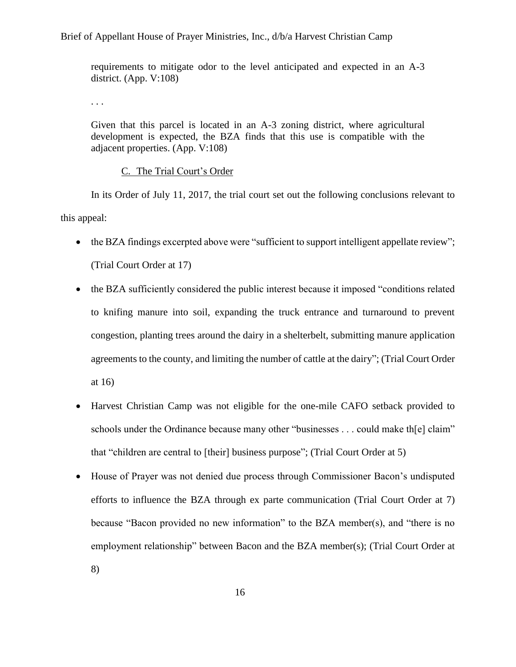requirements to mitigate odor to the level anticipated and expected in an A-3 district. (App. V:108)

. . .

Given that this parcel is located in an A-3 zoning district, where agricultural development is expected, the BZA finds that this use is compatible with the adjacent properties. (App. V:108)

#### C. The Trial Court's Order

<span id="page-15-0"></span>In its Order of July 11, 2017, the trial court set out the following conclusions relevant to this appeal:

- the BZA findings excerpted above were "sufficient to support intelligent appellate review"; (Trial Court Order at 17)
- the BZA sufficiently considered the public interest because it imposed "conditions related" to knifing manure into soil, expanding the truck entrance and turnaround to prevent congestion, planting trees around the dairy in a shelterbelt, submitting manure application agreements to the county, and limiting the number of cattle at the dairy"; (Trial Court Order at 16)
- Harvest Christian Camp was not eligible for the one-mile CAFO setback provided to schools under the Ordinance because many other "businesses . . . could make the el claim" that "children are central to [their] business purpose"; (Trial Court Order at 5)
- House of Prayer was not denied due process through Commissioner Bacon's undisputed efforts to influence the BZA through ex parte communication (Trial Court Order at 7) because "Bacon provided no new information" to the BZA member(s), and "there is no employment relationship" between Bacon and the BZA member(s); (Trial Court Order at
	-

8)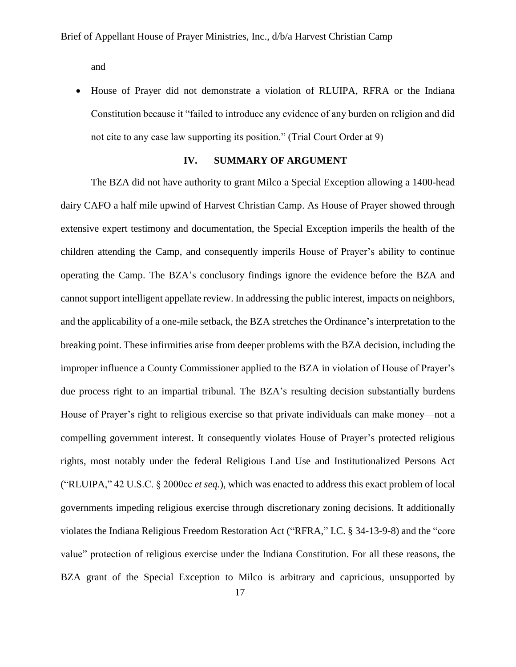and

• House of Prayer did not demonstrate a violation of RLUIPA, RFRA or the Indiana Constitution because it "failed to introduce any evidence of any burden on religion and did not cite to any case law supporting its position." (Trial Court Order at 9)

### **IV. SUMMARY OF ARGUMENT**

<span id="page-16-0"></span>The BZA did not have authority to grant Milco a Special Exception allowing a 1400-head dairy CAFO a half mile upwind of Harvest Christian Camp. As House of Prayer showed through extensive expert testimony and documentation, the Special Exception imperils the health of the children attending the Camp, and consequently imperils House of Prayer's ability to continue operating the Camp. The BZA's conclusory findings ignore the evidence before the BZA and cannot support intelligent appellate review. In addressing the public interest, impacts on neighbors, and the applicability of a one-mile setback, the BZA stretches the Ordinance's interpretation to the breaking point. These infirmities arise from deeper problems with the BZA decision, including the improper influence a County Commissioner applied to the BZA in violation of House of Prayer's due process right to an impartial tribunal. The BZA's resulting decision substantially burdens House of Prayer's right to religious exercise so that private individuals can make money—not a compelling government interest. It consequently violates House of Prayer's protected religious rights, most notably under the federal Religious Land Use and Institutionalized Persons Act ("RLUIPA," 42 U.S.C. § 2000cc *et seq.*), which was enacted to address this exact problem of local governments impeding religious exercise through discretionary zoning decisions. It additionally violates the Indiana Religious Freedom Restoration Act ("RFRA," I.C. § 34-13-9-8) and the "core value" protection of religious exercise under the Indiana Constitution. For all these reasons, the BZA grant of the Special Exception to Milco is arbitrary and capricious, unsupported by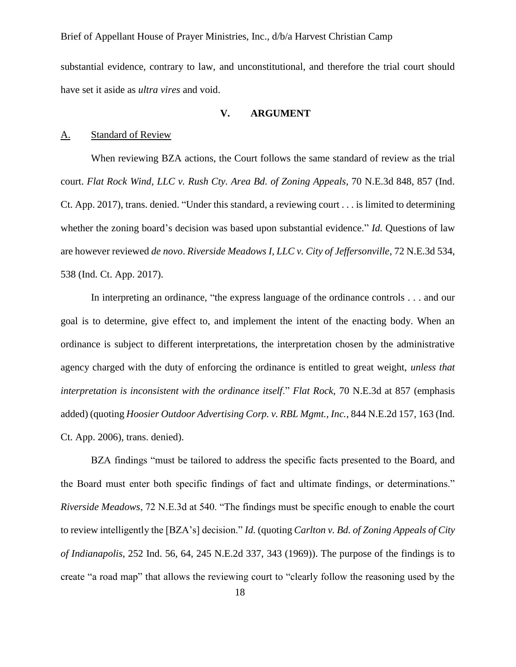substantial evidence, contrary to law, and unconstitutional, and therefore the trial court should have set it aside as *ultra vires* and void.

### **V. ARGUMENT**

#### <span id="page-17-1"></span><span id="page-17-0"></span>A. Standard of Review

When reviewing BZA actions, the Court follows the same standard of review as the trial court. *Flat Rock Wind, LLC v. Rush Cty. Area Bd. of Zoning Appeals*, 70 N.E.3d 848, 857 (Ind. Ct. App. 2017), trans. denied. "Under this standard, a reviewing court . . . is limited to determining whether the zoning board's decision was based upon substantial evidence." *Id.* Questions of law are however reviewed *de novo*. *Riverside Meadows I, LLC v. City of Jeffersonville*, 72 N.E.3d 534, 538 (Ind. Ct. App. 2017).

In interpreting an ordinance, "the express language of the ordinance controls . . . and our goal is to determine, give effect to, and implement the intent of the enacting body. When an ordinance is subject to different interpretations, the interpretation chosen by the administrative agency charged with the duty of enforcing the ordinance is entitled to great weight, *unless that interpretation is inconsistent with the ordinance itself*." *Flat Rock*, 70 N.E.3d at 857 (emphasis added) (quoting *Hoosier Outdoor Advertising Corp. v. RBL Mgmt., Inc.*, 844 N.E.2d 157, 163 (Ind. Ct. App. 2006), trans. denied).

BZA findings "must be tailored to address the specific facts presented to the Board, and the Board must enter both specific findings of fact and ultimate findings, or determinations." *Riverside Meadows*, 72 N.E.3d at 540. "The findings must be specific enough to enable the court to review intelligently the [BZA's] decision." *Id.* (quoting *Carlton v. Bd. of Zoning Appeals of City of Indianapolis*, 252 Ind. 56, 64, 245 N.E.2d 337, 343 (1969)). The purpose of the findings is to create "a road map" that allows the reviewing court to "clearly follow the reasoning used by the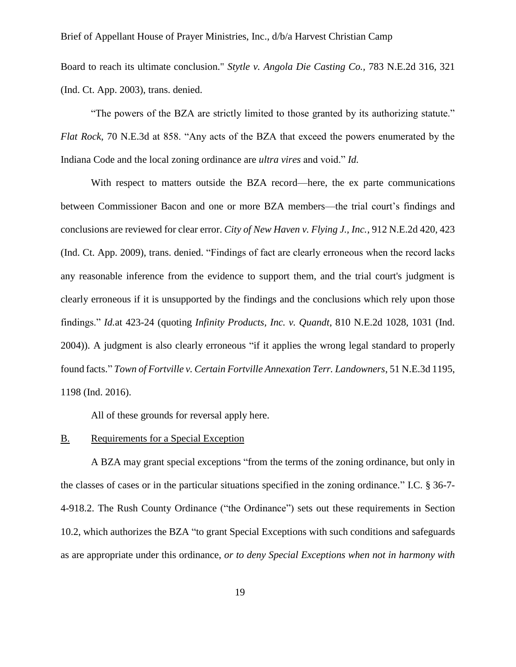Board to reach its ultimate conclusion." *Stytle v. Angola Die Casting Co.,* 783 N.E.2d 316, 321 (Ind. Ct. App. 2003), trans. denied.

"The powers of the BZA are strictly limited to those granted by its authorizing statute." *Flat Rock*, 70 N.E.3d at 858. "Any acts of the BZA that exceed the powers enumerated by the Indiana Code and the local zoning ordinance are *ultra vires* and void." *Id.* 

With respect to matters outside the BZA record—here, the ex parte communications between Commissioner Bacon and one or more BZA members—the trial court's findings and conclusions are reviewed for clear error. *City of New Haven v. Flying J., Inc.*, 912 N.E.2d 420, 423 (Ind. Ct. App. 2009), trans. denied. "Findings of fact are clearly erroneous when the record lacks any reasonable inference from the evidence to support them, and the trial court's judgment is clearly erroneous if it is unsupported by the findings and the conclusions which rely upon those findings." *Id.*at 423-24 (quoting *Infinity Products, Inc. v. Quandt*, 810 N.E.2d 1028, 1031 (Ind. 2004)). A judgment is also clearly erroneous "if it applies the wrong legal standard to properly found facts." *Town of Fortville v. Certain Fortville Annexation Terr. Landowners*, 51 N.E.3d 1195, 1198 (Ind. 2016).

All of these grounds for reversal apply here.

#### <span id="page-18-0"></span>B. Requirements for a Special Exception

A BZA may grant special exceptions "from the terms of the zoning ordinance, but only in the classes of cases or in the particular situations specified in the zoning ordinance." I.C. § 36-7- 4-918.2. The Rush County Ordinance ("the Ordinance") sets out these requirements in Section 10.2, which authorizes the BZA "to grant Special Exceptions with such conditions and safeguards as are appropriate under this ordinance, *or to deny Special Exceptions when not in harmony with*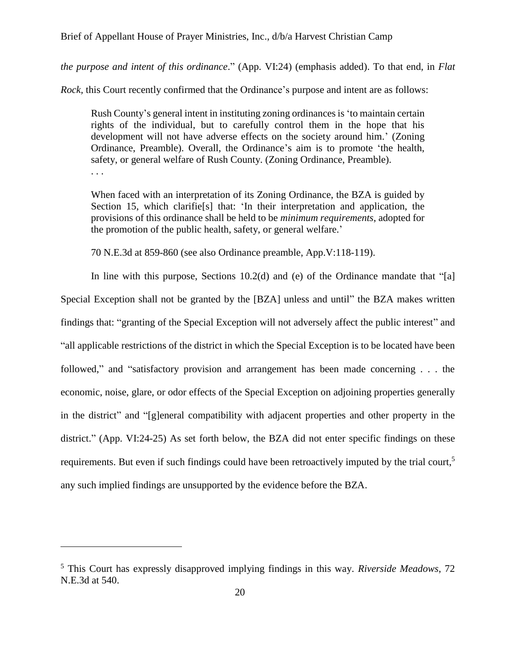*the purpose and intent of this ordinance*." (App. VI:24) (emphasis added). To that end, in *Flat* 

*Rock,* this Court recently confirmed that the Ordinance's purpose and intent are as follows:

Rush County's general intent in instituting zoning ordinances is 'to maintain certain rights of the individual, but to carefully control them in the hope that his development will not have adverse effects on the society around him.' (Zoning Ordinance, Preamble). Overall, the Ordinance's aim is to promote 'the health, safety, or general welfare of Rush County. (Zoning Ordinance, Preamble). . . .

When faced with an interpretation of its Zoning Ordinance, the BZA is guided by Section 15, which clarifie[s] that: 'In their interpretation and application, the provisions of this ordinance shall be held to be *minimum requirements*, adopted for the promotion of the public health, safety, or general welfare.'

70 N.E.3d at 859-860 (see also Ordinance preamble, App.V:118-119).

In line with this purpose, Sections  $10.2(d)$  and (e) of the Ordinance mandate that "[a] Special Exception shall not be granted by the [BZA] unless and until" the BZA makes written findings that: "granting of the Special Exception will not adversely affect the public interest" and "all applicable restrictions of the district in which the Special Exception is to be located have been followed," and "satisfactory provision and arrangement has been made concerning . . . the economic, noise, glare, or odor effects of the Special Exception on adjoining properties generally in the district" and "[g]eneral compatibility with adjacent properties and other property in the district." (App. VI:24-25) As set forth below, the BZA did not enter specific findings on these requirements. But even if such findings could have been retroactively imputed by the trial court,<sup>5</sup> any such implied findings are unsupported by the evidence before the BZA.

<sup>5</sup> This Court has expressly disapproved implying findings in this way. *Riverside Meadows*, 72 N.E.3d at 540.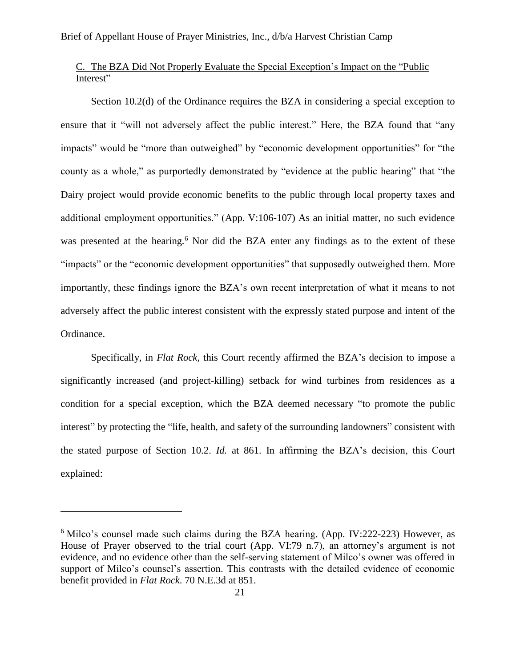### <span id="page-20-0"></span>C. The BZA Did Not Properly Evaluate the Special Exception's Impact on the "Public Interest"

Section 10.2(d) of the Ordinance requires the BZA in considering a special exception to ensure that it "will not adversely affect the public interest." Here, the BZA found that "any impacts" would be "more than outweighed" by "economic development opportunities" for "the county as a whole," as purportedly demonstrated by "evidence at the public hearing" that "the Dairy project would provide economic benefits to the public through local property taxes and additional employment opportunities." (App. V:106-107) As an initial matter, no such evidence was presented at the hearing.<sup>6</sup> Nor did the BZA enter any findings as to the extent of these "impacts" or the "economic development opportunities" that supposedly outweighed them. More importantly, these findings ignore the BZA's own recent interpretation of what it means to not adversely affect the public interest consistent with the expressly stated purpose and intent of the Ordinance.

Specifically, in *Flat Rock,* this Court recently affirmed the BZA's decision to impose a significantly increased (and project-killing) setback for wind turbines from residences as a condition for a special exception, which the BZA deemed necessary "to promote the public interest" by protecting the "life, health, and safety of the surrounding landowners" consistent with the stated purpose of Section 10.2. *Id.* at 861. In affirming the BZA's decision, this Court explained:

 $6$  Milco's counsel made such claims during the BZA hearing. (App. IV:222-223) However, as House of Prayer observed to the trial court (App. VI:79 n.7), an attorney's argument is not evidence, and no evidence other than the self-serving statement of Milco's owner was offered in support of Milco's counsel's assertion. This contrasts with the detailed evidence of economic benefit provided in *Flat Rock*. 70 N.E.3d at 851.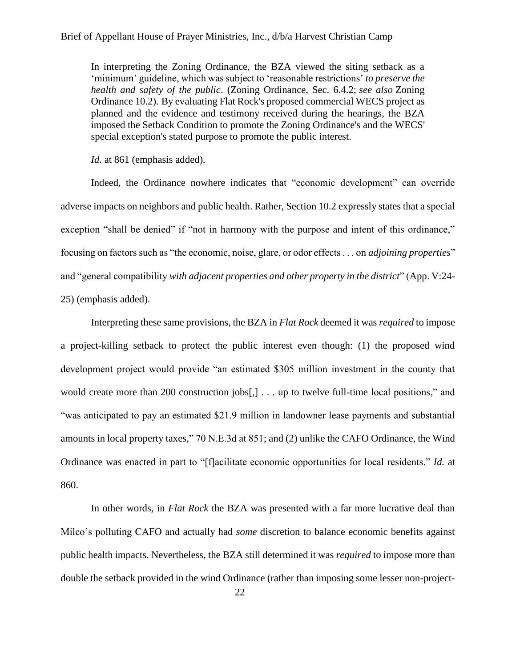In interpreting the Zoning Ordinance, the BZA viewed the siting setback as a 'minimum' guideline, which was subject to 'reasonable restrictions' *to preserve the health and safety of the public*. (Zoning Ordinance, Sec. 6.4.2; *see also* Zoning Ordinance 10.2). By evaluating Flat Rock's proposed commercial WECS project as planned and the evidence and testimony received during the hearings, the BZA imposed the Setback Condition to promote the Zoning Ordinance's and the WECS' special exception's stated purpose to promote the public interest.

*Id.* at 861 (emphasis added).

Indeed, the Ordinance nowhere indicates that "economic development" can override adverse impacts on neighbors and public health. Rather, Section 10.2 expressly states that a special exception "shall be denied" if "not in harmony with the purpose and intent of this ordinance," focusing on factors such as "the economic, noise, glare, or odor effects . . . on *adjoining properties*" and "general compatibility *with adjacent properties and other property in the district*" (App. V:24- 25) (emphasis added).

Interpreting these same provisions, the BZA in *Flat Rock* deemed it was *required* to impose a project-killing setback to protect the public interest even though: (1) the proposed wind development project would provide "an estimated \$305 million investment in the county that would create more than 200 construction jobs[,] . . . up to twelve full-time local positions," and "was anticipated to pay an estimated \$21.9 million in landowner lease payments and substantial amounts in local property taxes," 70 N.E.3d at 851; and (2) unlike the CAFO Ordinance, the Wind Ordinance was enacted in part to "[f]acilitate economic opportunities for local residents." *Id.* at 860.

In other words, in *Flat Rock* the BZA was presented with a far more lucrative deal than Milco's polluting CAFO and actually had *some* discretion to balance economic benefits against public health impacts. Nevertheless, the BZA still determined it was *required* to impose more than double the setback provided in the wind Ordinance (rather than imposing some lesser non-project-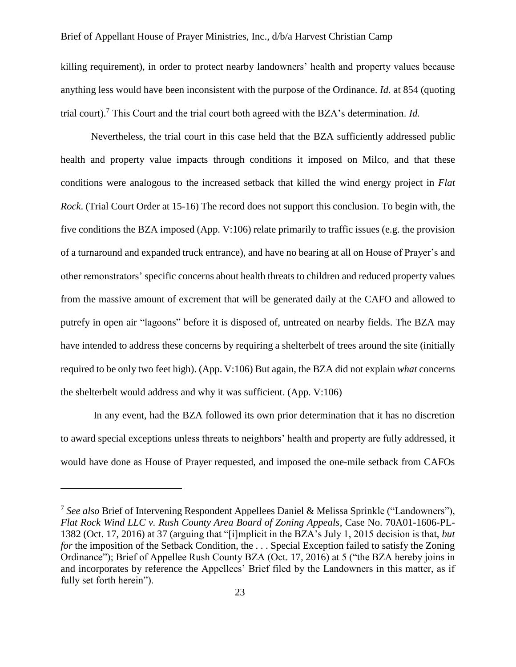killing requirement), in order to protect nearby landowners' health and property values because anything less would have been inconsistent with the purpose of the Ordinance. *Id.* at 854 (quoting trial court). <sup>7</sup> This Court and the trial court both agreed with the BZA's determination. *Id.*

Nevertheless, the trial court in this case held that the BZA sufficiently addressed public health and property value impacts through conditions it imposed on Milco, and that these conditions were analogous to the increased setback that killed the wind energy project in *Flat Rock*. (Trial Court Order at 15-16) The record does not support this conclusion. To begin with, the five conditions the BZA imposed (App. V:106) relate primarily to traffic issues (e.g. the provision of a turnaround and expanded truck entrance), and have no bearing at all on House of Prayer's and other remonstrators' specific concerns about health threats to children and reduced property values from the massive amount of excrement that will be generated daily at the CAFO and allowed to putrefy in open air "lagoons" before it is disposed of, untreated on nearby fields. The BZA may have intended to address these concerns by requiring a shelterbelt of trees around the site (initially required to be only two feet high). (App. V:106) But again, the BZA did not explain *what* concerns the shelterbelt would address and why it was sufficient. (App. V:106)

In any event, had the BZA followed its own prior determination that it has no discretion to award special exceptions unless threats to neighbors' health and property are fully addressed, it would have done as House of Prayer requested, and imposed the one-mile setback from CAFOs

<sup>&</sup>lt;sup>7</sup> See also Brief of Intervening Respondent Appellees Daniel & Melissa Sprinkle ("Landowners"), *Flat Rock Wind LLC v. Rush County Area Board of Zoning Appeals*, Case No. 70A01-1606-PL-1382 (Oct. 17, 2016) at 37 (arguing that "[i]mplicit in the BZA's July 1, 2015 decision is that, *but for* the imposition of the Setback Condition, the . . . Special Exception failed to satisfy the Zoning Ordinance"); Brief of Appellee Rush County BZA (Oct. 17, 2016) at 5 ("the BZA hereby joins in and incorporates by reference the Appellees' Brief filed by the Landowners in this matter, as if fully set forth herein").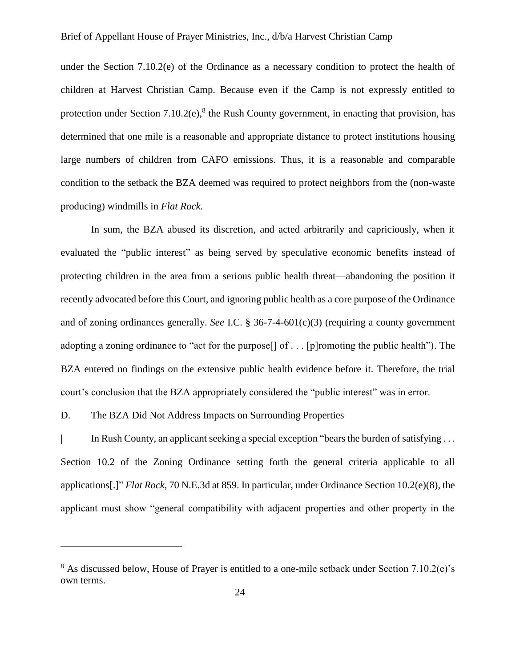under the Section 7.10.2(e) of the Ordinance as a necessary condition to protect the health of children at Harvest Christian Camp. Because even if the Camp is not expressly entitled to protection under Section  $7.10.2(e)$ ,<sup>8</sup> the Rush County government, in enacting that provision, has determined that one mile is a reasonable and appropriate distance to protect institutions housing large numbers of children from CAFO emissions. Thus, it is a reasonable and comparable condition to the setback the BZA deemed was required to protect neighbors from the (non-waste producing) windmills in *Flat Rock.* 

In sum, the BZA abused its discretion, and acted arbitrarily and capriciously, when it evaluated the "public interest" as being served by speculative economic benefits instead of protecting children in the area from a serious public health threat—abandoning the position it recently advocated before this Court, and ignoring public health as a core purpose of the Ordinance and of zoning ordinances generally. *See* I.C. § 36-7-4-601(c)(3) (requiring a county government adopting a zoning ordinance to "act for the purpose[] of . . . [p]romoting the public health"). The BZA entered no findings on the extensive public health evidence before it. Therefore, the trial court's conclusion that the BZA appropriately considered the "public interest" was in error.

### <span id="page-23-0"></span>D. The BZA Did Not Address Impacts on Surrounding Properties

 $\overline{a}$ 

| In Rush County, an applicant seeking a special exception "bears the burden of satisfying . . . Section 10.2 of the Zoning Ordinance setting forth the general criteria applicable to all applications[.]" *Flat Rock*, 70 N.E.3d at 859. In particular, under Ordinance Section 10.2(e)(8), the applicant must show "general compatibility with adjacent properties and other property in the

 $8$  As discussed below, House of Prayer is entitled to a one-mile setback under Section 7.10.2(e)'s own terms.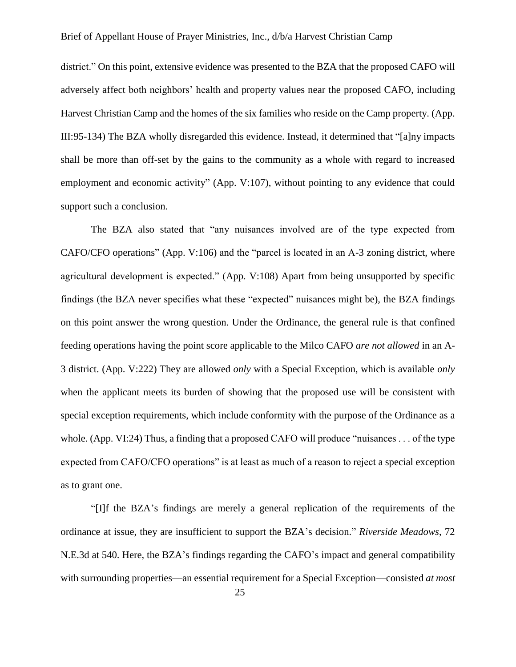district." On this point, extensive evidence was presented to the BZA that the proposed CAFO will adversely affect both neighbors' health and property values near the proposed CAFO, including Harvest Christian Camp and the homes of the six families who reside on the Camp property. (App. III:95-134) The BZA wholly disregarded this evidence. Instead, it determined that "[a]ny impacts shall be more than off-set by the gains to the community as a whole with regard to increased employment and economic activity" (App. V:107), without pointing to any evidence that could support such a conclusion.

The BZA also stated that "any nuisances involved are of the type expected from CAFO/CFO operations" (App. V:106) and the "parcel is located in an A-3 zoning district, where agricultural development is expected." (App. V:108) Apart from being unsupported by specific findings (the BZA never specifies what these "expected" nuisances might be), the BZA findings on this point answer the wrong question. Under the Ordinance, the general rule is that confined feeding operations having the point score applicable to the Milco CAFO *are not allowed* in an A-3 district. (App. V:222) They are allowed *only* with a Special Exception, which is available *only* when the applicant meets its burden of showing that the proposed use will be consistent with special exception requirements, which include conformity with the purpose of the Ordinance as a whole. (App. VI:24) Thus, a finding that a proposed CAFO will produce "nuisances . . . of the type expected from CAFO/CFO operations" is at least as much of a reason to reject a special exception as to grant one.

"[I]f the BZA's findings are merely a general replication of the requirements of the ordinance at issue, they are insufficient to support the BZA's decision." *Riverside Meadows*, 72 N.E.3d at 540. Here, the BZA's findings regarding the CAFO's impact and general compatibility with surrounding properties—an essential requirement for a Special Exception—consisted *at most*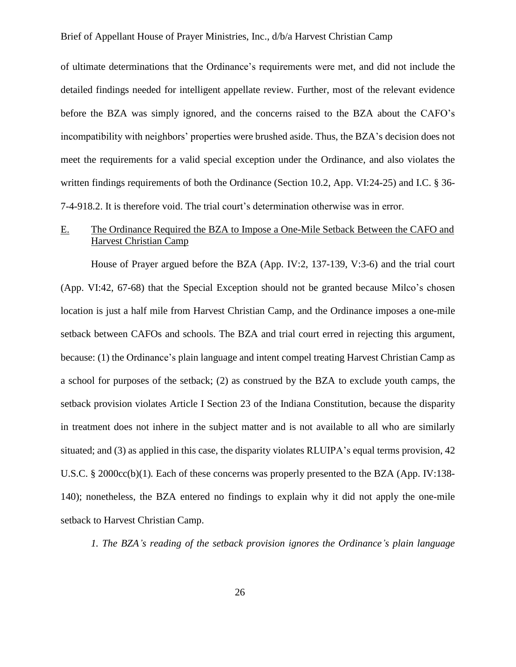of ultimate determinations that the Ordinance's requirements were met, and did not include the detailed findings needed for intelligent appellate review. Further, most of the relevant evidence before the BZA was simply ignored, and the concerns raised to the BZA about the CAFO's incompatibility with neighbors' properties were brushed aside. Thus, the BZA's decision does not meet the requirements for a valid special exception under the Ordinance, and also violates the written findings requirements of both the Ordinance (Section 10.2, App. VI:24-25) and I.C. § 36- 7-4-918.2. It is therefore void. The trial court's determination otherwise was in error.

### <span id="page-25-0"></span>E. The Ordinance Required the BZA to Impose a One-Mile Setback Between the CAFO and Harvest Christian Camp

House of Prayer argued before the BZA (App. IV:2, 137-139, V:3-6) and the trial court (App. VI:42, 67-68) that the Special Exception should not be granted because Milco's chosen location is just a half mile from Harvest Christian Camp, and the Ordinance imposes a one-mile setback between CAFOs and schools. The BZA and trial court erred in rejecting this argument, because: (1) the Ordinance's plain language and intent compel treating Harvest Christian Camp as a school for purposes of the setback; (2) as construed by the BZA to exclude youth camps, the setback provision violates Article I Section 23 of the Indiana Constitution, because the disparity in treatment does not inhere in the subject matter and is not available to all who are similarly situated; and (3) as applied in this case, the disparity violates RLUIPA's equal terms provision, 42 U.S.C. § 2000cc(b)(1). Each of these concerns was properly presented to the BZA (App. IV:138-140); nonetheless, the BZA entered no findings to explain why it did not apply the one-mile setback to Harvest Christian Camp.

<span id="page-25-1"></span>*1. The BZA's reading of the setback provision ignores the Ordinance's plain language*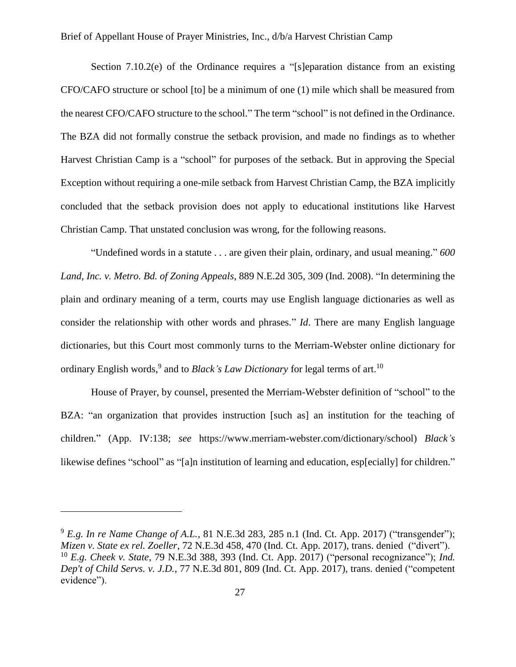Section 7.10.2(e) of the Ordinance requires a "[s]eparation distance from an existing CFO/CAFO structure or school [to] be a minimum of one (1) mile which shall be measured from the nearest CFO/CAFO structure to the school." The term "school" is not defined in the Ordinance. The BZA did not formally construe the setback provision, and made no findings as to whether Harvest Christian Camp is a "school" for purposes of the setback. But in approving the Special Exception without requiring a one-mile setback from Harvest Christian Camp, the BZA implicitly concluded that the setback provision does not apply to educational institutions like Harvest Christian Camp. That unstated conclusion was wrong, for the following reasons.

"Undefined words in a statute . . . are given their plain, ordinary, and usual meaning." *600 Land, Inc. v. Metro. Bd. of Zoning Appeals*, 889 N.E.2d 305, 309 (Ind. 2008). "In determining the plain and ordinary meaning of a term, courts may use English language dictionaries as well as consider the relationship with other words and phrases." *Id*. There are many English language dictionaries, but this Court most commonly turns to the Merriam-Webster online dictionary for ordinary English words,<sup>9</sup> and to *Black's Law Dictionary* for legal terms of art.<sup>10</sup>

House of Prayer, by counsel, presented the Merriam-Webster definition of "school" to the BZA: "an organization that provides instruction [such as] an institution for the teaching of children." (App. IV:138; *see* https://www.merriam-webster.com/dictionary/school) *Black's*  likewise defines "school" as "[a]n institution of learning and education, esp[ecially] for children."

<sup>9</sup> *E.g. In re Name Change of A.L.*, 81 N.E.3d 283, 285 n.1 (Ind. Ct. App. 2017) ("transgender"); *Mizen v. State ex rel. Zoeller*, 72 N.E.3d 458, 470 (Ind. Ct. App. 2017), trans. denied ("divert"). <sup>10</sup> *E.g. Cheek v. State*, 79 N.E.3d 388, 393 (Ind. Ct. App. 2017) ("personal recognizance"); *Ind. Dep't of Child Servs. v. J.D.*, 77 N.E.3d 801, 809 (Ind. Ct. App. 2017), trans. denied ("competent evidence").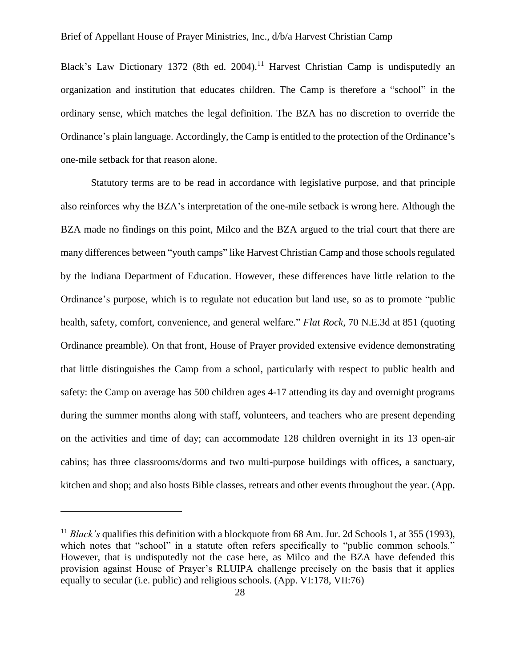Black's Law Dictionary 1372 (8th ed. 2004).<sup>11</sup> Harvest Christian Camp is undisputedly an organization and institution that educates children. The Camp is therefore a "school" in the ordinary sense, which matches the legal definition. The BZA has no discretion to override the Ordinance's plain language. Accordingly, the Camp is entitled to the protection of the Ordinance's one-mile setback for that reason alone.

Statutory terms are to be read in accordance with legislative purpose, and that principle also reinforces why the BZA's interpretation of the one-mile setback is wrong here. Although the BZA made no findings on this point, Milco and the BZA argued to the trial court that there are many differences between "youth camps" like Harvest Christian Camp and those schools regulated by the Indiana Department of Education. However, these differences have little relation to the Ordinance's purpose, which is to regulate not education but land use, so as to promote "public health, safety, comfort, convenience, and general welfare." *Flat Rock*, 70 N.E.3d at 851 (quoting Ordinance preamble). On that front, House of Prayer provided extensive evidence demonstrating that little distinguishes the Camp from a school, particularly with respect to public health and safety: the Camp on average has 500 children ages 4-17 attending its day and overnight programs during the summer months along with staff, volunteers, and teachers who are present depending on the activities and time of day; can accommodate 128 children overnight in its 13 open-air cabins; has three classrooms/dorms and two multi-purpose buildings with offices, a sanctuary, kitchen and shop; and also hosts Bible classes, retreats and other events throughout the year. (App.

<sup>&</sup>lt;sup>11</sup> *Black's* qualifies this definition with a blockquote from 68 Am. Jur. 2d Schools 1, at 355 (1993), which notes that "school" in a statute often refers specifically to "public common schools." However, that is undisputedly not the case here, as Milco and the BZA have defended this provision against House of Prayer's RLUIPA challenge precisely on the basis that it applies equally to secular (i.e. public) and religious schools. (App. VI:178, VII:76)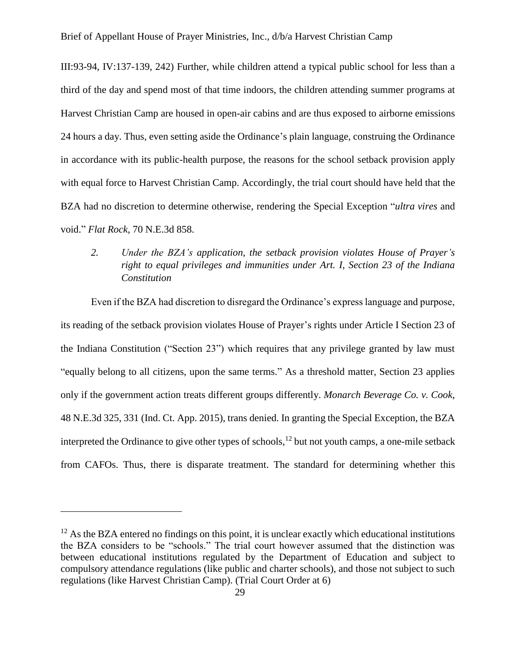III:93-94, IV:137-139, 242) Further, while children attend a typical public school for less than a third of the day and spend most of that time indoors, the children attending summer programs at Harvest Christian Camp are housed in open-air cabins and are thus exposed to airborne emissions 24 hours a day. Thus, even setting aside the Ordinance's plain language, construing the Ordinance in accordance with its public-health purpose, the reasons for the school setback provision apply with equal force to Harvest Christian Camp. Accordingly, the trial court should have held that the BZA had no discretion to determine otherwise, rendering the Special Exception "*ultra vires* and void." *Flat Rock*, 70 N.E.3d 858.

<span id="page-28-0"></span>*2. Under the BZA's application, the setback provision violates House of Prayer's right to equal privileges and immunities under Art. I, Section 23 of the Indiana Constitution*

Even if the BZA had discretion to disregard the Ordinance's express language and purpose, its reading of the setback provision violates House of Prayer's rights under Article I Section 23 of the Indiana Constitution ("Section 23") which requires that any privilege granted by law must "equally belong to all citizens, upon the same terms." As a threshold matter, Section 23 applies only if the government action treats different groups differently. *Monarch Beverage Co. v. Cook*, 48 N.E.3d 325, 331 (Ind. Ct. App. 2015), trans denied. In granting the Special Exception, the BZA interpreted the Ordinance to give other types of schools,<sup>12</sup> but not youth camps, a one-mile setback from CAFOs. Thus, there is disparate treatment. The standard for determining whether this

 $12$  As the BZA entered no findings on this point, it is unclear exactly which educational institutions the BZA considers to be "schools." The trial court however assumed that the distinction was between educational institutions regulated by the Department of Education and subject to compulsory attendance regulations (like public and charter schools), and those not subject to such regulations (like Harvest Christian Camp). (Trial Court Order at 6)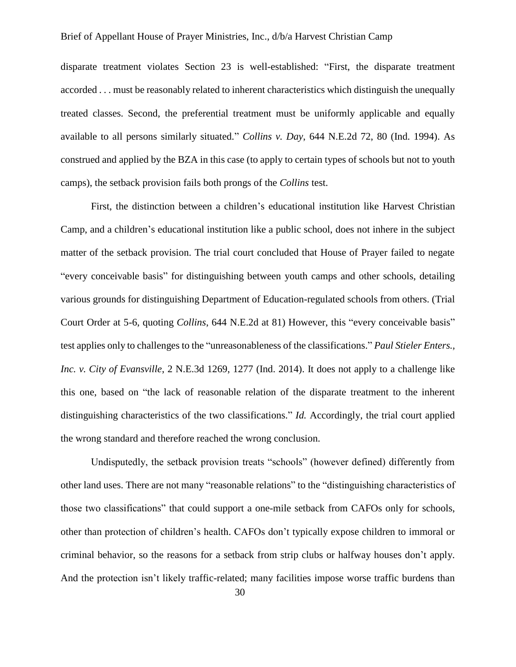disparate treatment violates Section 23 is well-established: "First, the disparate treatment accorded . . . must be reasonably related to inherent characteristics which distinguish the unequally treated classes. Second, the preferential treatment must be uniformly applicable and equally available to all persons similarly situated." *Collins v. Day*, 644 N.E.2d 72, 80 (Ind. 1994). As construed and applied by the BZA in this case (to apply to certain types of schools but not to youth camps), the setback provision fails both prongs of the *Collins* test.

First, the distinction between a children's educational institution like Harvest Christian Camp, and a children's educational institution like a public school, does not inhere in the subject matter of the setback provision. The trial court concluded that House of Prayer failed to negate "every conceivable basis" for distinguishing between youth camps and other schools, detailing various grounds for distinguishing Department of Education-regulated schools from others. (Trial Court Order at 5-6, quoting *Collins*, 644 N.E.2d at 81) However, this "every conceivable basis" test applies only to challenges to the "unreasonableness of the classifications." *Paul Stieler Enters., Inc. v. City of Evansville*, 2 N.E.3d 1269, 1277 (Ind. 2014). It does not apply to a challenge like this one, based on "the lack of reasonable relation of the disparate treatment to the inherent distinguishing characteristics of the two classifications." *Id.* Accordingly, the trial court applied the wrong standard and therefore reached the wrong conclusion.

Undisputedly, the setback provision treats "schools" (however defined) differently from other land uses. There are not many "reasonable relations" to the "distinguishing characteristics of those two classifications" that could support a one-mile setback from CAFOs only for schools, other than protection of children's health. CAFOs don't typically expose children to immoral or criminal behavior, so the reasons for a setback from strip clubs or halfway houses don't apply. And the protection isn't likely traffic-related; many facilities impose worse traffic burdens than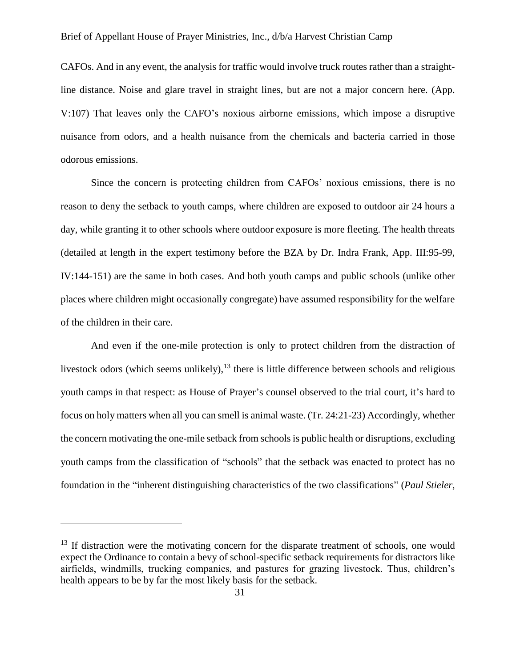CAFOs. And in any event, the analysis for traffic would involve truck routes rather than a straightline distance. Noise and glare travel in straight lines, but are not a major concern here. (App. V:107) That leaves only the CAFO's noxious airborne emissions, which impose a disruptive nuisance from odors, and a health nuisance from the chemicals and bacteria carried in those odorous emissions.

Since the concern is protecting children from CAFOs' noxious emissions, there is no reason to deny the setback to youth camps, where children are exposed to outdoor air 24 hours a day, while granting it to other schools where outdoor exposure is more fleeting. The health threats (detailed at length in the expert testimony before the BZA by Dr. Indra Frank, App. III:95-99, IV:144-151) are the same in both cases. And both youth camps and public schools (unlike other places where children might occasionally congregate) have assumed responsibility for the welfare of the children in their care.

And even if the one-mile protection is only to protect children from the distraction of livestock odors (which seems unlikely),  $13$  there is little difference between schools and religious youth camps in that respect: as House of Prayer's counsel observed to the trial court, it's hard to focus on holy matters when all you can smell is animal waste. (Tr. 24:21-23) Accordingly, whether the concern motivating the one-mile setback from schools is public health or disruptions, excluding youth camps from the classification of "schools" that the setback was enacted to protect has no foundation in the "inherent distinguishing characteristics of the two classifications" (*Paul Stieler*,

<sup>&</sup>lt;sup>13</sup> If distraction were the motivating concern for the disparate treatment of schools, one would expect the Ordinance to contain a bevy of school-specific setback requirements for distractors like airfields, windmills, trucking companies, and pastures for grazing livestock. Thus, children's health appears to be by far the most likely basis for the setback.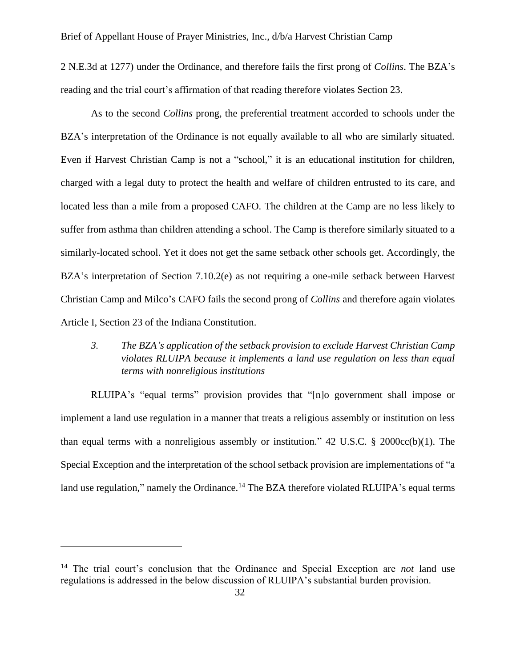2 N.E.3d at 1277) under the Ordinance, and therefore fails the first prong of *Collins*. The BZA's reading and the trial court's affirmation of that reading therefore violates Section 23.

As to the second *Collins* prong, the preferential treatment accorded to schools under the BZA's interpretation of the Ordinance is not equally available to all who are similarly situated. Even if Harvest Christian Camp is not a "school," it is an educational institution for children, charged with a legal duty to protect the health and welfare of children entrusted to its care, and located less than a mile from a proposed CAFO. The children at the Camp are no less likely to suffer from asthma than children attending a school. The Camp is therefore similarly situated to a similarly-located school. Yet it does not get the same setback other schools get. Accordingly, the BZA's interpretation of Section 7.10.2(e) as not requiring a one-mile setback between Harvest Christian Camp and Milco's CAFO fails the second prong of *Collins* and therefore again violates Article I, Section 23 of the Indiana Constitution.

### <span id="page-31-0"></span>*3. The BZA's application of the setback provision to exclude Harvest Christian Camp violates RLUIPA because it implements a land use regulation on less than equal terms with nonreligious institutions*

RLUIPA's "equal terms" provision provides that "[n]o government shall impose or implement a land use regulation in a manner that treats a religious assembly or institution on less than equal terms with a nonreligious assembly or institution."  $42 \text{ U.S.C. }$  \$ 2000cc(b)(1). The Special Exception and the interpretation of the school setback provision are implementations of "a land use regulation," namely the Ordinance.<sup>14</sup> The BZA therefore violated RLUIPA's equal terms

<sup>14</sup> The trial court's conclusion that the Ordinance and Special Exception are *not* land use regulations is addressed in the below discussion of RLUIPA's substantial burden provision.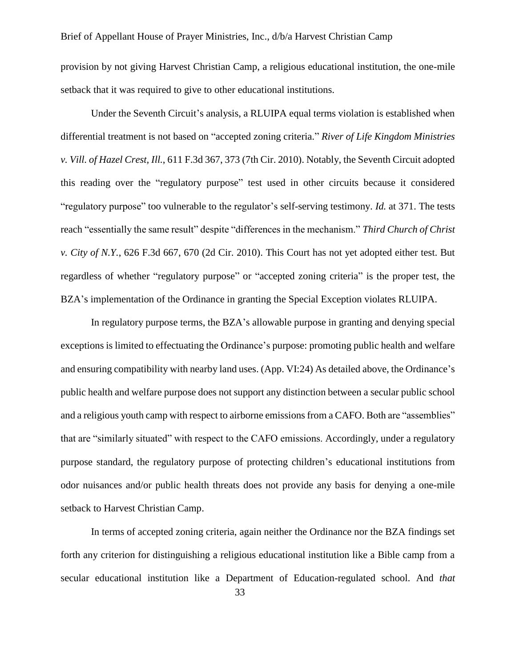provision by not giving Harvest Christian Camp, a religious educational institution, the one-mile setback that it was required to give to other educational institutions.

Under the Seventh Circuit's analysis, a RLUIPA equal terms violation is established when differential treatment is not based on "accepted zoning criteria." *River of Life Kingdom Ministries v. Vill. of Hazel Crest, Ill.*, 611 F.3d 367, 373 (7th Cir. 2010). Notably, the Seventh Circuit adopted this reading over the "regulatory purpose" test used in other circuits because it considered "regulatory purpose" too vulnerable to the regulator's self-serving testimony. *Id.* at 371. The tests reach "essentially the same result" despite "differences in the mechanism." *Third Church of Christ v. City of N.Y.*, 626 F.3d 667, 670 (2d Cir. 2010). This Court has not yet adopted either test. But regardless of whether "regulatory purpose" or "accepted zoning criteria" is the proper test, the BZA's implementation of the Ordinance in granting the Special Exception violates RLUIPA.

In regulatory purpose terms, the BZA's allowable purpose in granting and denying special exceptions is limited to effectuating the Ordinance's purpose: promoting public health and welfare and ensuring compatibility with nearby land uses. (App. VI:24) As detailed above, the Ordinance's public health and welfare purpose does not support any distinction between a secular public school and a religious youth camp with respect to airborne emissions from a CAFO. Both are "assemblies" that are "similarly situated" with respect to the CAFO emissions. Accordingly, under a regulatory purpose standard, the regulatory purpose of protecting children's educational institutions from odor nuisances and/or public health threats does not provide any basis for denying a one-mile setback to Harvest Christian Camp.

In terms of accepted zoning criteria, again neither the Ordinance nor the BZA findings set forth any criterion for distinguishing a religious educational institution like a Bible camp from a secular educational institution like a Department of Education-regulated school. And *that*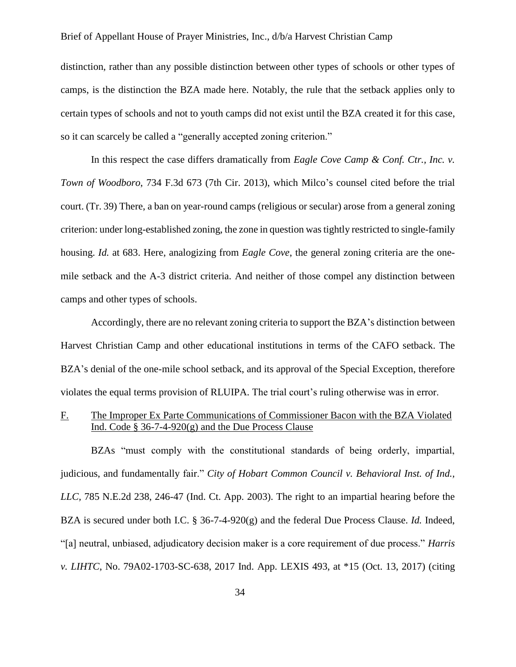distinction, rather than any possible distinction between other types of schools or other types of camps, is the distinction the BZA made here. Notably, the rule that the setback applies only to certain types of schools and not to youth camps did not exist until the BZA created it for this case, so it can scarcely be called a "generally accepted zoning criterion."

In this respect the case differs dramatically from *Eagle Cove Camp & Conf. Ctr., Inc. v. Town of Woodboro*, 734 F.3d 673 (7th Cir. 2013), which Milco's counsel cited before the trial court. (Tr. 39) There, a ban on year-round camps (religious or secular) arose from a general zoning criterion: under long-established zoning, the zone in question was tightly restricted to single-family housing. *Id.* at 683. Here, analogizing from *Eagle Cove*, the general zoning criteria are the onemile setback and the A-3 district criteria. And neither of those compel any distinction between camps and other types of schools.

Accordingly, there are no relevant zoning criteria to support the BZA's distinction between Harvest Christian Camp and other educational institutions in terms of the CAFO setback. The BZA's denial of the one-mile school setback, and its approval of the Special Exception, therefore violates the equal terms provision of RLUIPA. The trial court's ruling otherwise was in error.

### <span id="page-33-0"></span>F. The Improper Ex Parte Communications of Commissioner Bacon with the BZA Violated Ind. Code  $\S 36-7-4-920(g)$  and the Due Process Clause

BZAs "must comply with the constitutional standards of being orderly, impartial, judicious, and fundamentally fair." *City of Hobart Common Council v. Behavioral Inst. of Ind., LLC,* 785 N.E.2d 238, 246-47 (Ind. Ct. App. 2003). The right to an impartial hearing before the BZA is secured under both I.C. § 36-7-4-920(g) and the federal Due Process Clause. *Id.* Indeed, "[a] neutral, unbiased, adjudicatory decision maker is a core requirement of due process." *Harris v. LIHTC*, No. 79A02-1703-SC-638, 2017 Ind. App. LEXIS 493, at \*15 (Oct. 13, 2017) (citing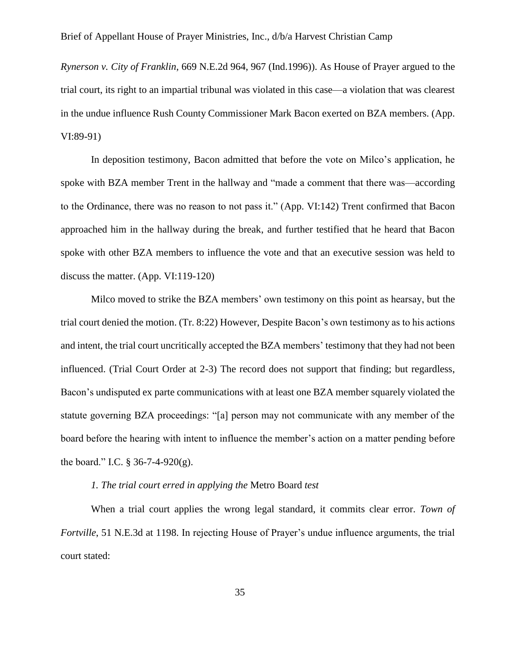*Rynerson v. City of Franklin*, 669 N.E.2d 964, 967 (Ind.1996)). As House of Prayer argued to the trial court, its right to an impartial tribunal was violated in this case—a violation that was clearest in the undue influence Rush County Commissioner Mark Bacon exerted on BZA members. (App. VI:89-91)

In deposition testimony, Bacon admitted that before the vote on Milco's application, he spoke with BZA member Trent in the hallway and "made a comment that there was—according to the Ordinance, there was no reason to not pass it." (App. VI:142) Trent confirmed that Bacon approached him in the hallway during the break, and further testified that he heard that Bacon spoke with other BZA members to influence the vote and that an executive session was held to discuss the matter. (App. VI:119-120)

Milco moved to strike the BZA members' own testimony on this point as hearsay, but the trial court denied the motion. (Tr. 8:22) However, Despite Bacon's own testimony as to his actions and intent, the trial court uncritically accepted the BZA members' testimony that they had not been influenced. (Trial Court Order at 2-3) The record does not support that finding; but regardless, Bacon's undisputed ex parte communications with at least one BZA member squarely violated the statute governing BZA proceedings: "[a] person may not communicate with any member of the board before the hearing with intent to influence the member's action on a matter pending before the board." I.C.  $\S 36-7-4-920(g)$ .

#### *1. The trial court erred in applying the* Metro Board *test*

<span id="page-34-0"></span>When a trial court applies the wrong legal standard, it commits clear error. *Town of Fortville*, 51 N.E.3d at 1198. In rejecting House of Prayer's undue influence arguments, the trial court stated: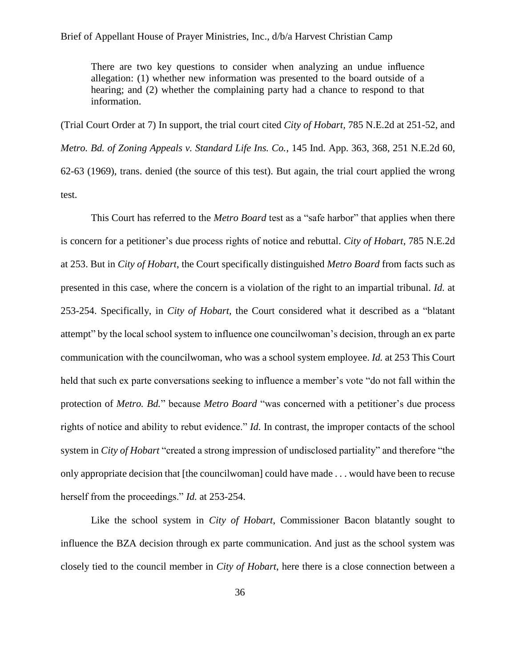There are two key questions to consider when analyzing an undue influence allegation: (1) whether new information was presented to the board outside of a hearing; and (2) whether the complaining party had a chance to respond to that information.

(Trial Court Order at 7) In support, the trial court cited *City of Hobart,* 785 N.E.2d at 251-52, and *Metro. Bd. of Zoning Appeals v. Standard Life Ins. Co.*, 145 Ind. App. 363, 368, 251 N.E.2d 60, 62-63 (1969), trans. denied (the source of this test). But again, the trial court applied the wrong test.

This Court has referred to the *Metro Board* test as a "safe harbor" that applies when there is concern for a petitioner's due process rights of notice and rebuttal. *City of Hobart*, 785 N.E.2d at 253. But in *City of Hobart*, the Court specifically distinguished *Metro Board* from facts such as presented in this case, where the concern is a violation of the right to an impartial tribunal. *Id.* at 253-254. Specifically, in *City of Hobart,* the Court considered what it described as a "blatant attempt" by the local school system to influence one councilwoman's decision, through an ex parte communication with the councilwoman, who was a school system employee. *Id.* at 253 This Court held that such ex parte conversations seeking to influence a member's vote "do not fall within the protection of *Metro. Bd.*" because *Metro Board* "was concerned with a petitioner's due process rights of notice and ability to rebut evidence." *Id.* In contrast, the improper contacts of the school system in *City of Hobart* "created a strong impression of undisclosed partiality" and therefore "the only appropriate decision that [the councilwoman] could have made . . . would have been to recuse herself from the proceedings." *Id.* at 253-254.

Like the school system in *City of Hobart*, Commissioner Bacon blatantly sought to influence the BZA decision through ex parte communication. And just as the school system was closely tied to the council member in *City of Hobart*, here there is a close connection between a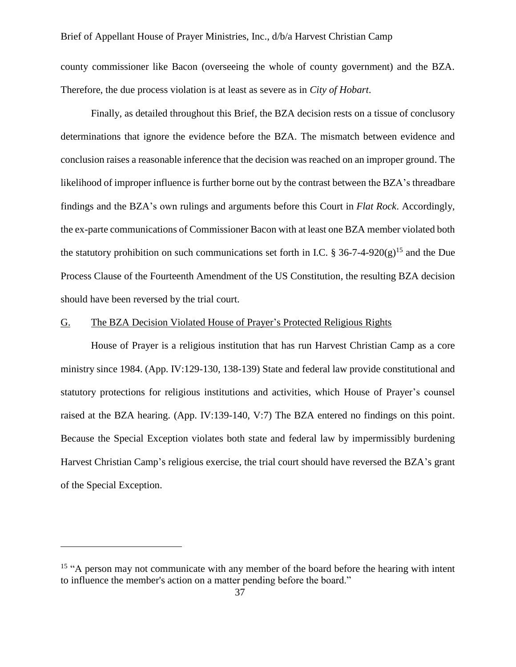county commissioner like Bacon (overseeing the whole of county government) and the BZA. Therefore, the due process violation is at least as severe as in *City of Hobart*.

Finally, as detailed throughout this Brief, the BZA decision rests on a tissue of conclusory determinations that ignore the evidence before the BZA. The mismatch between evidence and conclusion raises a reasonable inference that the decision was reached on an improper ground. The likelihood of improper influence is further borne out by the contrast between the BZA's threadbare findings and the BZA's own rulings and arguments before this Court in *Flat Rock*. Accordingly, the ex-parte communications of Commissioner Bacon with at least one BZA member violated both the statutory prohibition on such communications set forth in I.C. § 36-7-4-920(g)<sup>15</sup> and the Due Process Clause of the Fourteenth Amendment of the US Constitution, the resulting BZA decision should have been reversed by the trial court.

#### <span id="page-36-0"></span>G. The BZA Decision Violated House of Prayer's Protected Religious Rights

House of Prayer is a religious institution that has run Harvest Christian Camp as a core ministry since 1984. (App. IV:129-130, 138-139) State and federal law provide constitutional and statutory protections for religious institutions and activities, which House of Prayer's counsel raised at the BZA hearing. (App. IV:139-140, V:7) The BZA entered no findings on this point. Because the Special Exception violates both state and federal law by impermissibly burdening Harvest Christian Camp's religious exercise, the trial court should have reversed the BZA's grant of the Special Exception.

<span id="page-36-1"></span><sup>&</sup>lt;sup>15</sup> "A person may not communicate with any member of the board before the hearing with intent to influence the member's action on a matter pending before the board."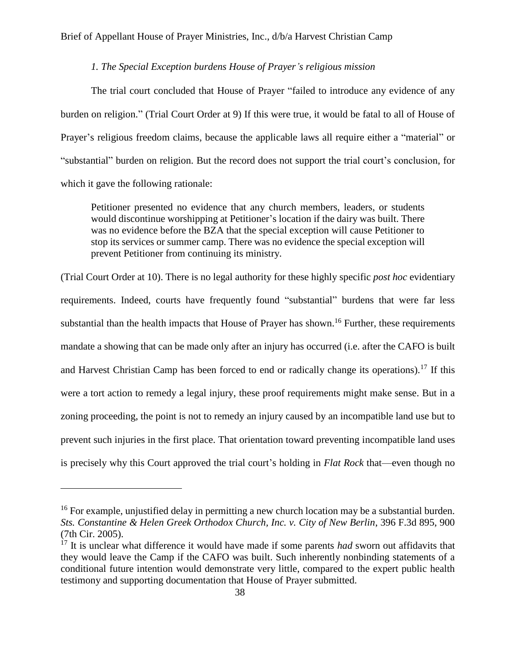### *1. The Special Exception burdens House of Prayer's religious mission*

The trial court concluded that House of Prayer "failed to introduce any evidence of any burden on religion." (Trial Court Order at 9) If this were true, it would be fatal to all of House of Prayer's religious freedom claims, because the applicable laws all require either a "material" or "substantial" burden on religion. But the record does not support the trial court's conclusion, for which it gave the following rationale:

Petitioner presented no evidence that any church members, leaders, or students would discontinue worshipping at Petitioner's location if the dairy was built. There was no evidence before the BZA that the special exception will cause Petitioner to stop its services or summer camp. There was no evidence the special exception will prevent Petitioner from continuing its ministry.

(Trial Court Order at 10). There is no legal authority for these highly specific *post hoc* evidentiary requirements. Indeed, courts have frequently found "substantial" burdens that were far less substantial than the health impacts that House of Prayer has shown.<sup>16</sup> Further, these requirements mandate a showing that can be made only after an injury has occurred (i.e. after the CAFO is built and Harvest Christian Camp has been forced to end or radically change its operations).<sup>17</sup> If this were a tort action to remedy a legal injury, these proof requirements might make sense. But in a zoning proceeding, the point is not to remedy an injury caused by an incompatible land use but to prevent such injuries in the first place. That orientation toward preventing incompatible land uses is precisely why this Court approved the trial court's holding in *Flat Rock* that—even though no

<sup>&</sup>lt;sup>16</sup> For example, unjustified delay in permitting a new church location may be a substantial burden. *Sts. Constantine & Helen Greek Orthodox Church, Inc. v. City of New Berlin*, 396 F.3d 895, 900 (7th Cir. 2005).

<sup>&</sup>lt;sup>17</sup> It is unclear what difference it would have made if some parents *had* sworn out affidavits that they would leave the Camp if the CAFO was built. Such inherently nonbinding statements of a conditional future intention would demonstrate very little, compared to the expert public health testimony and supporting documentation that House of Prayer submitted.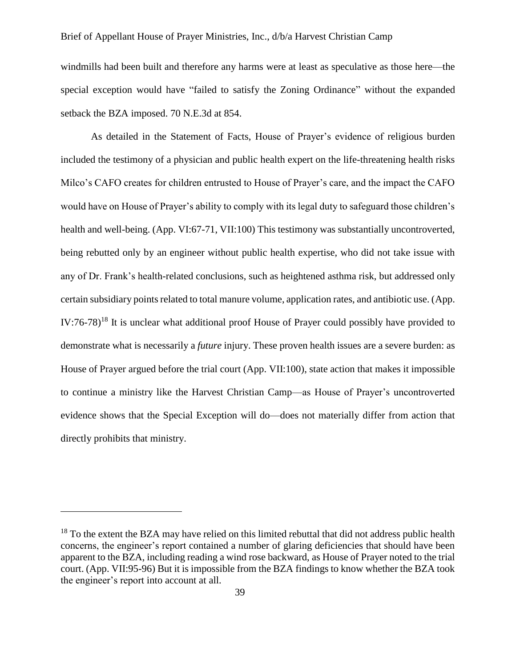windmills had been built and therefore any harms were at least as speculative as those here—the special exception would have "failed to satisfy the Zoning Ordinance" without the expanded setback the BZA imposed. 70 N.E.3d at 854.

As detailed in the Statement of Facts, House of Prayer's evidence of religious burden included the testimony of a physician and public health expert on the life-threatening health risks Milco's CAFO creates for children entrusted to House of Prayer's care, and the impact the CAFO would have on House of Prayer's ability to comply with its legal duty to safeguard those children's health and well-being. (App. VI:67-71, VII:100) This testimony was substantially uncontroverted, being rebutted only by an engineer without public health expertise, who did not take issue with any of Dr. Frank's health-related conclusions, such as heightened asthma risk, but addressed only certain subsidiary points related to total manure volume, application rates, and antibiotic use. (App. IV:76-78)<sup>18</sup> It is unclear what additional proof House of Prayer could possibly have provided to demonstrate what is necessarily a *future* injury. These proven health issues are a severe burden: as House of Prayer argued before the trial court (App. VII:100), state action that makes it impossible to continue a ministry like the Harvest Christian Camp—as House of Prayer's uncontroverted evidence shows that the Special Exception will do—does not materially differ from action that directly prohibits that ministry.

<sup>&</sup>lt;sup>18</sup> To the extent the BZA may have relied on this limited rebuttal that did not address public health concerns, the engineer's report contained a number of glaring deficiencies that should have been apparent to the BZA, including reading a wind rose backward, as House of Prayer noted to the trial court. (App. VII:95-96) But it is impossible from the BZA findings to know whether the BZA took the engineer's report into account at all.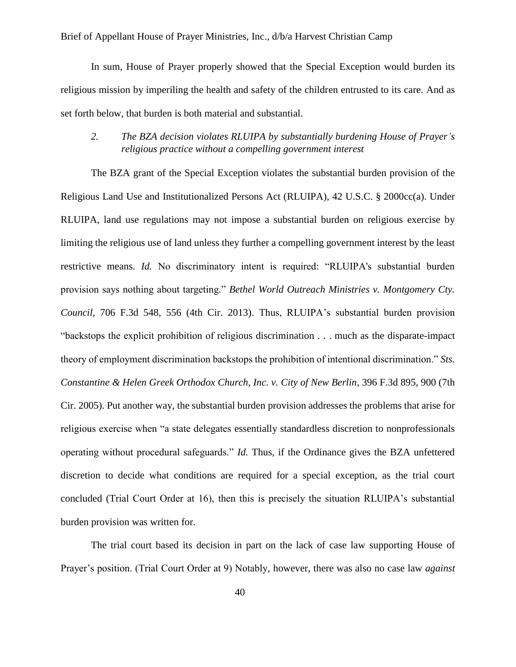In sum, House of Prayer properly showed that the Special Exception would burden its religious mission by imperiling the health and safety of the children entrusted to its care. And as set forth below, that burden is both material and substantial.

### <span id="page-39-0"></span>*2. The BZA decision violates RLUIPA by substantially burdening House of Prayer's religious practice without a compelling government interest*

The BZA grant of the Special Exception violates the substantial burden provision of the Religious Land Use and Institutionalized Persons Act (RLUIPA), 42 U.S.C. § 2000cc(a). Under RLUIPA, land use regulations may not impose a substantial burden on religious exercise by limiting the religious use of land unless they further a compelling government interest by the least restrictive means. *Id.* No discriminatory intent is required: "RLUIPA's substantial burden provision says nothing about targeting." *Bethel World Outreach Ministries v. Montgomery Cty. Council*, 706 F.3d 548, 556 (4th Cir. 2013). Thus, RLUIPA's substantial burden provision "backstops the explicit prohibition of religious discrimination . . . much as the disparate-impact theory of employment discrimination backstops the prohibition of intentional discrimination." *Sts. Constantine & Helen Greek Orthodox Church, Inc. v. City of New Berlin*, 396 F.3d 895, 900 (7th Cir. 2005). Put another way, the substantial burden provision addresses the problems that arise for religious exercise when "a state delegates essentially standardless discretion to nonprofessionals operating without procedural safeguards." *Id.* Thus, if the Ordinance gives the BZA unfettered discretion to decide what conditions are required for a special exception, as the trial court concluded (Trial Court Order at 16), then this is precisely the situation RLUIPA's substantial burden provision was written for.

The trial court based its decision in part on the lack of case law supporting House of Prayer's position. (Trial Court Order at 9) Notably, however, there was also no case law *against*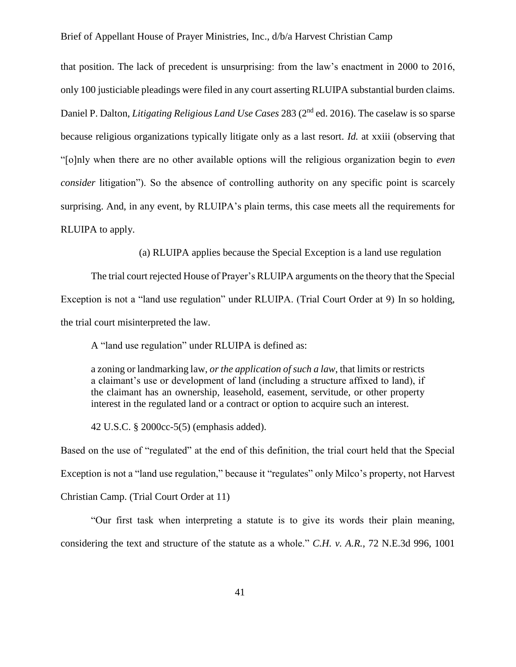that position. The lack of precedent is unsurprising: from the law's enactment in 2000 to 2016, only 100 justiciable pleadings were filed in any court asserting RLUIPA substantial burden claims. Daniel P. Dalton, *Litigating Religious Land Use Cases* 283 (2nd ed. 2016). The caselaw is so sparse because religious organizations typically litigate only as a last resort. *Id.* at xxiii (observing that "[o]nly when there are no other available options will the religious organization begin to *even consider* litigation"). So the absence of controlling authority on any specific point is scarcely surprising. And, in any event, by RLUIPA's plain terms, this case meets all the requirements for RLUIPA to apply.

<span id="page-40-0"></span>(a) RLUIPA applies because the Special Exception is a land use regulation

The trial court rejected House of Prayer's RLUIPA arguments on the theory that the Special Exception is not a "land use regulation" under RLUIPA. (Trial Court Order at 9) In so holding, the trial court misinterpreted the law.

A "land use regulation" under RLUIPA is defined as:

a zoning or landmarking law, *or the application of such a law*, that limits or restricts a claimant's use or development of land (including a structure affixed to land), if the claimant has an ownership, leasehold, easement, servitude, or other property interest in the regulated land or a contract or option to acquire such an interest.

42 U.S.C. § 2000cc-5(5) (emphasis added).

Based on the use of "regulated" at the end of this definition, the trial court held that the Special Exception is not a "land use regulation," because it "regulates" only Milco's property, not Harvest Christian Camp. (Trial Court Order at 11)

"Our first task when interpreting a statute is to give its words their plain meaning, considering the text and structure of the statute as a whole." *C.H. v. A.R.*, 72 N.E.3d 996, 1001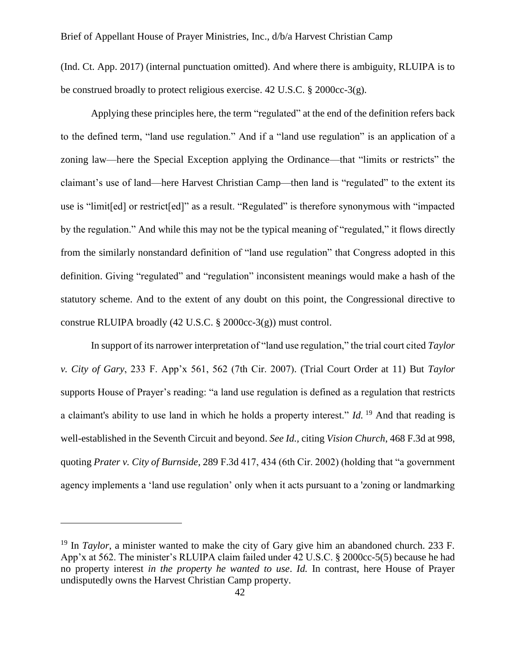(Ind. Ct. App. 2017) (internal punctuation omitted). And where there is ambiguity, RLUIPA is to be construed broadly to protect religious exercise. 42 U.S.C. § 2000cc-3(g).

Applying these principles here, the term "regulated" at the end of the definition refers back to the defined term, "land use regulation." And if a "land use regulation" is an application of a zoning law—here the Special Exception applying the Ordinance—that "limits or restricts" the claimant's use of land—here Harvest Christian Camp—then land is "regulated" to the extent its use is "limit[ed] or restrict[ed]" as a result. "Regulated" is therefore synonymous with "impacted by the regulation." And while this may not be the typical meaning of "regulated," it flows directly from the similarly nonstandard definition of "land use regulation" that Congress adopted in this definition. Giving "regulated" and "regulation" inconsistent meanings would make a hash of the statutory scheme. And to the extent of any doubt on this point, the Congressional directive to construe RLUIPA broadly (42 U.S.C. § 2000cc-3(g)) must control.

In support of its narrower interpretation of "land use regulation," the trial court cited *Taylor v. City of Gary*, 233 F. App'x 561, 562 (7th Cir. 2007). (Trial Court Order at 11) But *Taylor*  supports House of Prayer's reading: "a land use regulation is defined as a regulation that restricts a claimant's ability to use land in which he holds a property interest." *Id.* <sup>19</sup> And that reading is well-established in the Seventh Circuit and beyond. *See Id.,* citing *Vision Church*, 468 F.3d at 998, quoting *Prater v. City of Burnside*, 289 F.3d 417, 434 (6th Cir. 2002) (holding that "a government agency implements a 'land use regulation' only when it acts pursuant to a 'zoning or landmarking

<sup>&</sup>lt;sup>19</sup> In *Taylor*, a minister wanted to make the city of Gary give him an abandoned church. 233 F. App'x at 562. The minister's RLUIPA claim failed under 42 U.S.C. § 2000cc-5(5) because he had no property interest *in the property he wanted to use*. *Id.* In contrast, here House of Prayer undisputedly owns the Harvest Christian Camp property.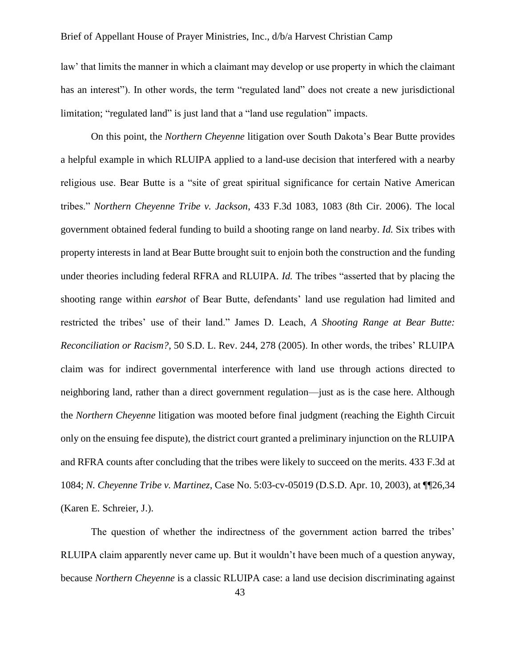law' that limits the manner in which a claimant may develop or use property in which the claimant has an interest"). In other words, the term "regulated land" does not create a new jurisdictional limitation; "regulated land" is just land that a "land use regulation" impacts.

On this point, the *Northern Cheyenne* litigation over South Dakota's Bear Butte provides a helpful example in which RLUIPA applied to a land-use decision that interfered with a nearby religious use. Bear Butte is a "site of great spiritual significance for certain Native American tribes." *Northern Cheyenne Tribe v. Jackson*, 433 F.3d 1083, 1083 (8th Cir. 2006). The local government obtained federal funding to build a shooting range on land nearby. *Id.* Six tribes with property interests in land at Bear Butte brought suit to enjoin both the construction and the funding under theories including federal RFRA and RLUIPA. *Id.* The tribes "asserted that by placing the shooting range within *earshot* of Bear Butte, defendants' land use regulation had limited and restricted the tribes' use of their land." James D. Leach, *A Shooting Range at Bear Butte: Reconciliation or Racism?*, 50 S.D. L. Rev. 244, 278 (2005). In other words, the tribes' RLUIPA claim was for indirect governmental interference with land use through actions directed to neighboring land, rather than a direct government regulation—just as is the case here. Although the *Northern Cheyenne* litigation was mooted before final judgment (reaching the Eighth Circuit only on the ensuing fee dispute), the district court granted a preliminary injunction on the RLUIPA and RFRA counts after concluding that the tribes were likely to succeed on the merits. 433 F.3d at 1084; *N. Cheyenne Tribe v. Martinez*, Case No. 5:03-cv-05019 (D.S.D. Apr. 10, 2003), at ¶¶26,34 (Karen E. Schreier, J.).

The question of whether the indirectness of the government action barred the tribes' RLUIPA claim apparently never came up. But it wouldn't have been much of a question anyway, because *Northern Cheyenne* is a classic RLUIPA case: a land use decision discriminating against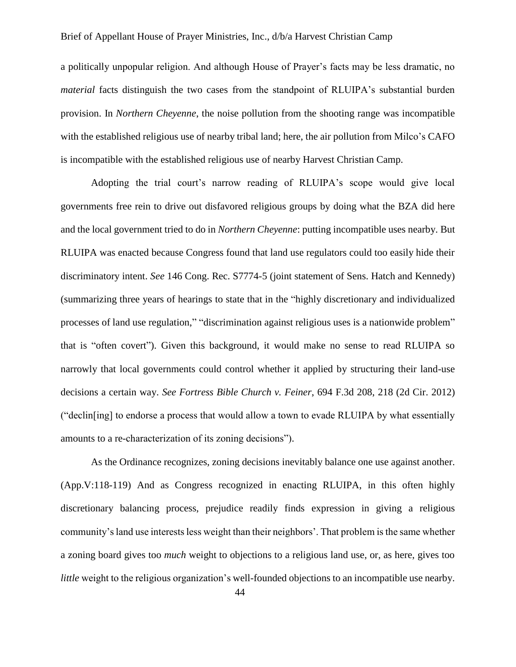a politically unpopular religion. And although House of Prayer's facts may be less dramatic, no *material* facts distinguish the two cases from the standpoint of RLUIPA's substantial burden provision. In *Northern Cheyenne*, the noise pollution from the shooting range was incompatible with the established religious use of nearby tribal land; here, the air pollution from Milco's CAFO is incompatible with the established religious use of nearby Harvest Christian Camp.

Adopting the trial court's narrow reading of RLUIPA's scope would give local governments free rein to drive out disfavored religious groups by doing what the BZA did here and the local government tried to do in *Northern Cheyenne*: putting incompatible uses nearby. But RLUIPA was enacted because Congress found that land use regulators could too easily hide their discriminatory intent. *See* 146 Cong. Rec. S7774-5 (joint statement of Sens. Hatch and Kennedy) (summarizing three years of hearings to state that in the "highly discretionary and individualized processes of land use regulation," "discrimination against religious uses is a nationwide problem" that is "often covert"). Given this background, it would make no sense to read RLUIPA so narrowly that local governments could control whether it applied by structuring their land-use decisions a certain way. *See Fortress Bible Church v. Feiner*, 694 F.3d 208, 218 (2d Cir. 2012) ("declin[ing] to endorse a process that would allow a town to evade RLUIPA by what essentially amounts to a re-characterization of its zoning decisions").

As the Ordinance recognizes, zoning decisions inevitably balance one use against another. (App.V:118-119) And as Congress recognized in enacting RLUIPA, in this often highly discretionary balancing process, prejudice readily finds expression in giving a religious community's land use interests less weight than their neighbors'. That problem is the same whether a zoning board gives too *much* weight to objections to a religious land use, or, as here, gives too *little* weight to the religious organization's well-founded objections to an incompatible use nearby.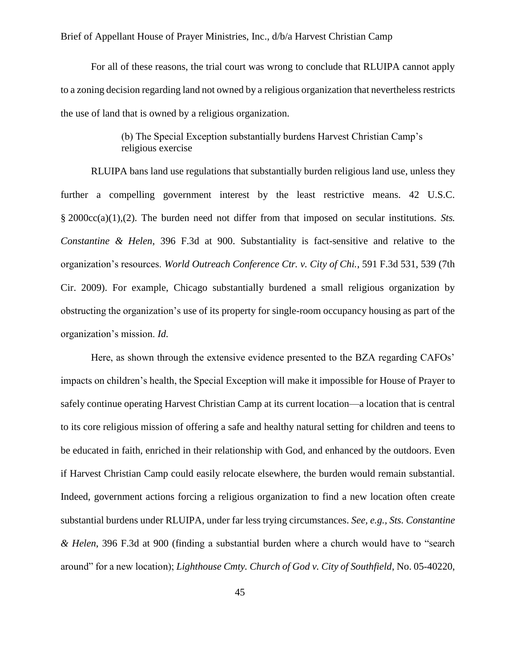For all of these reasons, the trial court was wrong to conclude that RLUIPA cannot apply to a zoning decision regarding land not owned by a religious organization that nevertheless restricts the use of land that is owned by a religious organization.

### (b) The Special Exception substantially burdens Harvest Christian Camp's religious exercise

<span id="page-44-0"></span>RLUIPA bans land use regulations that substantially burden religious land use, unless they further a compelling government interest by the least restrictive means. 42 U.S.C. § 2000cc(a)(1),(2). The burden need not differ from that imposed on secular institutions. *Sts. Constantine & Helen*, 396 F.3d at 900. Substantiality is fact-sensitive and relative to the organization's resources. *World Outreach Conference Ctr. v. City of Chi.*, 591 F.3d 531, 539 (7th Cir. 2009). For example, Chicago substantially burdened a small religious organization by obstructing the organization's use of its property for single-room occupancy housing as part of the organization's mission. *Id.*

Here, as shown through the extensive evidence presented to the BZA regarding CAFOs' impacts on children's health, the Special Exception will make it impossible for House of Prayer to safely continue operating Harvest Christian Camp at its current location—a location that is central to its core religious mission of offering a safe and healthy natural setting for children and teens to be educated in faith, enriched in their relationship with God, and enhanced by the outdoors. Even if Harvest Christian Camp could easily relocate elsewhere, the burden would remain substantial. Indeed, government actions forcing a religious organization to find a new location often create substantial burdens under RLUIPA, under far less trying circumstances. *See, e.g., Sts. Constantine & Helen*, 396 F.3d at 900 (finding a substantial burden where a church would have to "search around" for a new location); *Lighthouse Cmty. Church of God v. City of Southfield*, No. 05-40220,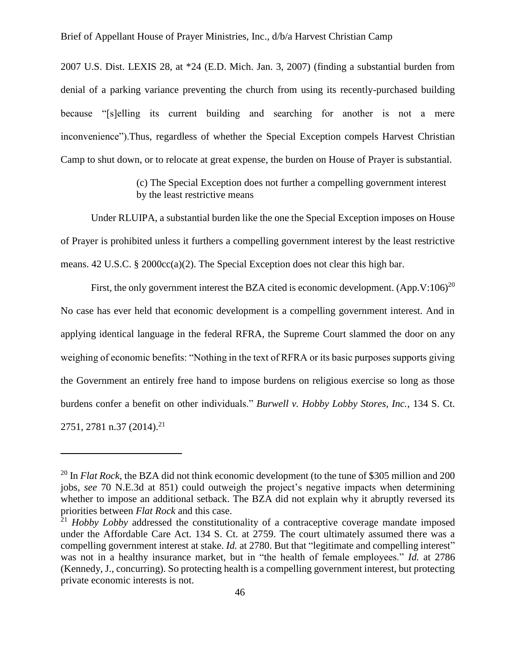2007 U.S. Dist. LEXIS 28, at \*24 (E.D. Mich. Jan. 3, 2007) (finding a substantial burden from denial of a parking variance preventing the church from using its recently-purchased building because "[s]elling its current building and searching for another is not a mere inconvenience").Thus, regardless of whether the Special Exception compels Harvest Christian Camp to shut down, or to relocate at great expense, the burden on House of Prayer is substantial.

> (c) The Special Exception does not further a compelling government interest by the least restrictive means

<span id="page-45-0"></span>Under RLUIPA, a substantial burden like the one the Special Exception imposes on House of Prayer is prohibited unless it furthers a compelling government interest by the least restrictive means. 42 U.S.C. § 2000cc(a)(2). The Special Exception does not clear this high bar.

First, the only government interest the BZA cited is economic development.  $(App.V:106)^{20}$ No case has ever held that economic development is a compelling government interest. And in applying identical language in the federal RFRA, the Supreme Court slammed the door on any weighing of economic benefits: "Nothing in the text of RFRA or its basic purposes supports giving the Government an entirely free hand to impose burdens on religious exercise so long as those burdens confer a benefit on other individuals." *Burwell v. Hobby Lobby Stores, Inc.*, 134 S. Ct. 2751, 2781 n.37 (2014).<sup>21</sup>

<sup>&</sup>lt;sup>20</sup> In *Flat Rock*, the BZA did not think economic development (to the tune of \$305 million and 200 jobs, *see* 70 N.E.3d at 851) could outweigh the project's negative impacts when determining whether to impose an additional setback. The BZA did not explain why it abruptly reversed its priorities between *Flat Rock* and this case.

<sup>&</sup>lt;sup>21</sup> *Hobby Lobby* addressed the constitutionality of a contraceptive coverage mandate imposed under the Affordable Care Act. 134 S. Ct. at 2759. The court ultimately assumed there was a compelling government interest at stake. *Id.* at 2780. But that "legitimate and compelling interest" was not in a healthy insurance market, but in "the health of female employees." *Id.* at 2786 (Kennedy, J., concurring). So protecting health is a compelling government interest, but protecting private economic interests is not.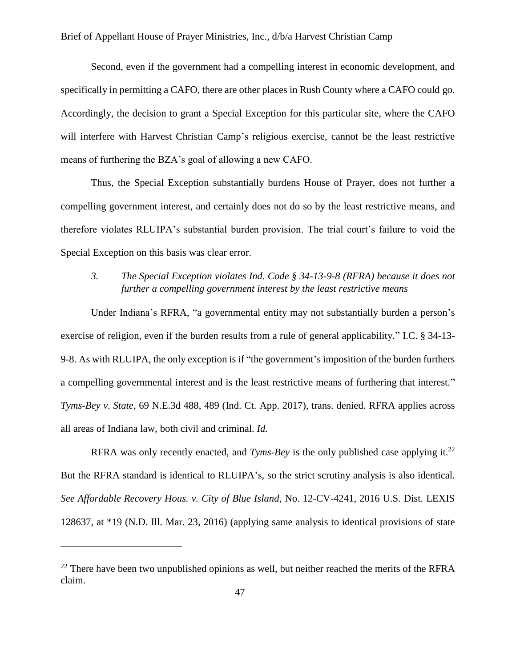Second, even if the government had a compelling interest in economic development, and specifically in permitting a CAFO, there are other places in Rush County where a CAFO could go. Accordingly, the decision to grant a Special Exception for this particular site, where the CAFO will interfere with Harvest Christian Camp's religious exercise, cannot be the least restrictive means of furthering the BZA's goal of allowing a new CAFO.

Thus, the Special Exception substantially burdens House of Prayer, does not further a compelling government interest, and certainly does not do so by the least restrictive means, and therefore violates RLUIPA's substantial burden provision. The trial court's failure to void the Special Exception on this basis was clear error.

### <span id="page-46-0"></span>*3. The Special Exception violates Ind. Code § 34-13-9-8 (RFRA) because it does not further a compelling government interest by the least restrictive means*

Under Indiana's RFRA, "a governmental entity may not substantially burden a person's exercise of religion, even if the burden results from a rule of general applicability." I.C. § 34-13- 9-8. As with RLUIPA, the only exception is if "the government's imposition of the burden furthers a compelling governmental interest and is the least restrictive means of furthering that interest." *Tyms-Bey v. State*, 69 N.E.3d 488, 489 (Ind. Ct. App. 2017), trans. denied. RFRA applies across all areas of Indiana law, both civil and criminal. *Id.*

RFRA was only recently enacted, and *Tyms-Bey* is the only published case applying it.<sup>22</sup> But the RFRA standard is identical to RLUIPA's, so the strict scrutiny analysis is also identical. *See Affordable Recovery Hous. v. City of Blue Island*, No. 12-CV-4241, 2016 U.S. Dist. LEXIS 128637, at \*19 (N.D. Ill. Mar. 23, 2016) (applying same analysis to identical provisions of state

 $22$  There have been two unpublished opinions as well, but neither reached the merits of the RFRA claim.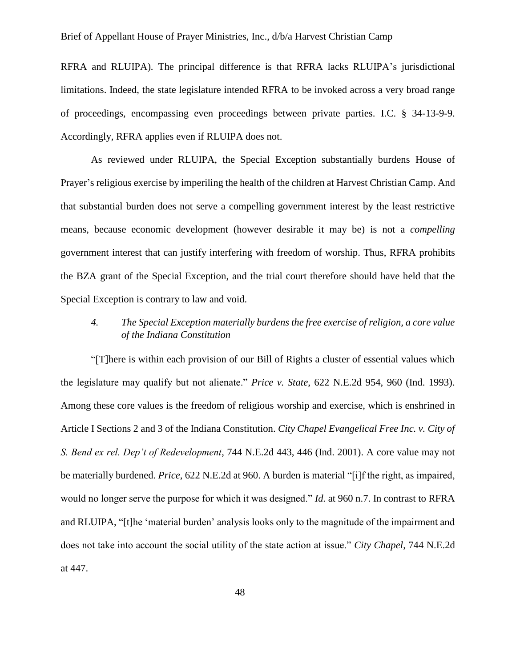RFRA and RLUIPA)*.* The principal difference is that RFRA lacks RLUIPA's jurisdictional limitations. Indeed, the state legislature intended RFRA to be invoked across a very broad range of proceedings, encompassing even proceedings between private parties. I.C. § 34-13-9-9. Accordingly, RFRA applies even if RLUIPA does not.

As reviewed under RLUIPA, the Special Exception substantially burdens House of Prayer's religious exercise by imperiling the health of the children at Harvest Christian Camp. And that substantial burden does not serve a compelling government interest by the least restrictive means, because economic development (however desirable it may be) is not a *compelling* government interest that can justify interfering with freedom of worship. Thus, RFRA prohibits the BZA grant of the Special Exception, and the trial court therefore should have held that the Special Exception is contrary to law and void.

### <span id="page-47-0"></span>*4. The Special Exception materially burdens the free exercise of religion, a core value of the Indiana Constitution*

"[T]here is within each provision of our Bill of Rights a cluster of essential values which the legislature may qualify but not alienate." *Price v. State*, 622 N.E.2d 954, 960 (Ind. 1993). Among these core values is the freedom of religious worship and exercise, which is enshrined in Article I Sections 2 and 3 of the Indiana Constitution. *City Chapel Evangelical Free Inc. v. City of S. Bend ex rel. Dep't of Redevelopment*, 744 N.E.2d 443, 446 (Ind. 2001). A core value may not be materially burdened. *Price*, 622 N.E.2d at 960. A burden is material "[i]f the right, as impaired, would no longer serve the purpose for which it was designed." *Id.* at 960 n.7. In contrast to RFRA and RLUIPA, "[t]he 'material burden' analysis looks only to the magnitude of the impairment and does not take into account the social utility of the state action at issue." *City Chapel*, 744 N.E.2d at 447.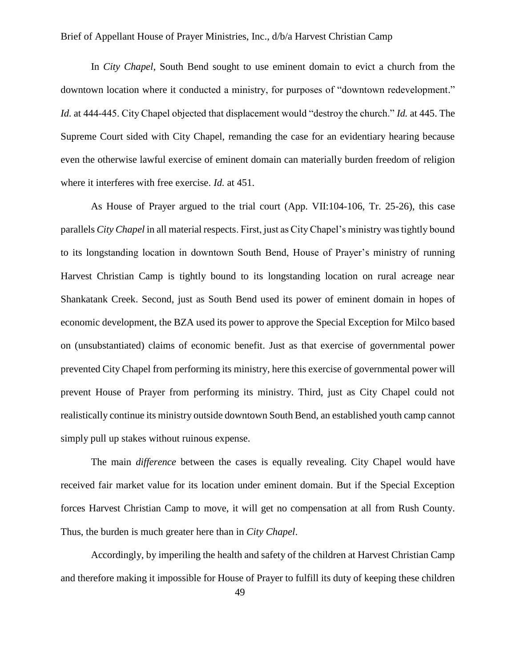In *City Chapel*, South Bend sought to use eminent domain to evict a church from the downtown location where it conducted a ministry, for purposes of "downtown redevelopment." *Id.* at 444-445. City Chapel objected that displacement would "destroy the church." *Id.* at 445. The Supreme Court sided with City Chapel, remanding the case for an evidentiary hearing because even the otherwise lawful exercise of eminent domain can materially burden freedom of religion where it interferes with free exercise. *Id.* at 451.

As House of Prayer argued to the trial court (App. VII:104-106, Tr. 25-26), this case parallels *City Chapel* in all material respects. First, just as City Chapel's ministry was tightly bound to its longstanding location in downtown South Bend, House of Prayer's ministry of running Harvest Christian Camp is tightly bound to its longstanding location on rural acreage near Shankatank Creek. Second, just as South Bend used its power of eminent domain in hopes of economic development, the BZA used its power to approve the Special Exception for Milco based on (unsubstantiated) claims of economic benefit. Just as that exercise of governmental power prevented City Chapel from performing its ministry, here this exercise of governmental power will prevent House of Prayer from performing its ministry. Third, just as City Chapel could not realistically continue its ministry outside downtown South Bend, an established youth camp cannot simply pull up stakes without ruinous expense.

The main *difference* between the cases is equally revealing. City Chapel would have received fair market value for its location under eminent domain. But if the Special Exception forces Harvest Christian Camp to move, it will get no compensation at all from Rush County. Thus, the burden is much greater here than in *City Chapel*.

Accordingly, by imperiling the health and safety of the children at Harvest Christian Camp and therefore making it impossible for House of Prayer to fulfill its duty of keeping these children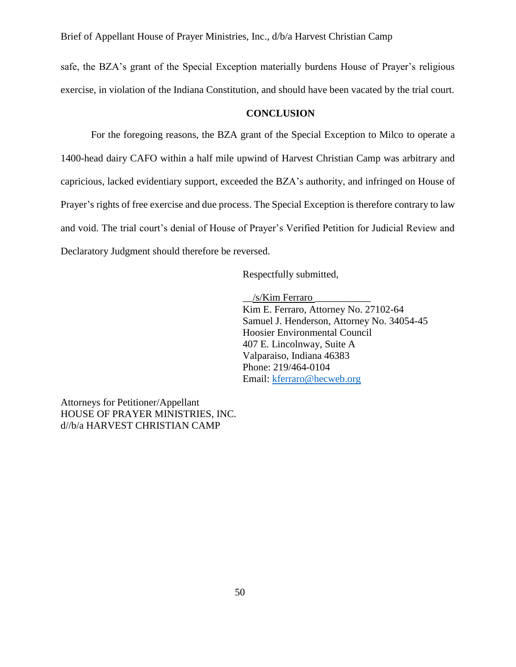safe, the BZA's grant of the Special Exception materially burdens House of Prayer's religious exercise, in violation of the Indiana Constitution, and should have been vacated by the trial court.

#### **CONCLUSION**

<span id="page-49-0"></span>For the foregoing reasons, the BZA grant of the Special Exception to Milco to operate a 1400-head dairy CAFO within a half mile upwind of Harvest Christian Camp was arbitrary and capricious, lacked evidentiary support, exceeded the BZA's authority, and infringed on House of Prayer's rights of free exercise and due process. The Special Exception is therefore contrary to law and void. The trial court's denial of House of Prayer's Verified Petition for Judicial Review and Declaratory Judgment should therefore be reversed.

Respectfully submitted,

\_\_/s/Kim Ferraro \_\_\_\_\_\_\_\_\_\_\_ Kim E. Ferraro, Attorney No. 27102-64 Samuel J. Henderson, Attorney No. 34054-45 Hoosier Environmental Council 407 E. Lincolnway, Suite A Valparaiso, Indiana 46383 Phone: 219/464-0104 Email: [kferraro@hecweb.org](mailto:kferraro@hecweb.org)

Attorneys for Petitioner/Appellant HOUSE OF PRAYER MINISTRIES, INC. d//b/a HARVEST CHRISTIAN CAMP